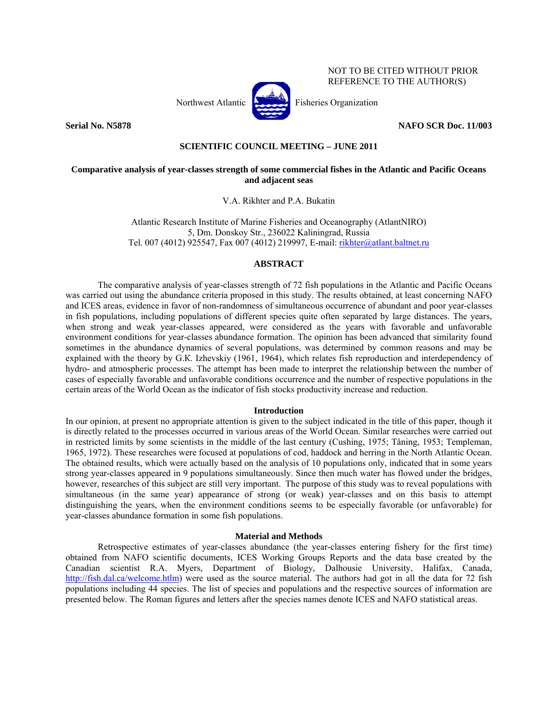

## REFERENCE TO THE AUTHOR(S)

NOT TO BE CITED WITHOUT PRIOR

**Serial No. N5878 NAFO SCR Doc. 11/003** 

### **SCIENTIFIC COUNCIL MEETING – JUNE 2011**

### **Comparative analysis of year-classes strength of some commercial fishes in the Atlantic and Pacific Oceans and adjacent seas**

V.А. Rikhter and P.А. Bukatin

Atlantic Research Institute of Marine Fisheries and Oceanography (AtlantNIRO) 5, Dm. Donskoy Str., 236022 Kaliningrad, Russia Tel. 007 (4012) 925547, Fax 007 (4012) 219997, E-mail: rikhter@atlant.baltnet.ru

### **ABSTRACT**

 The comparative analysis of year-classes strength of 72 fish populations in the Atlantic and Pacific Oceans was carried out using the abundance criteria proposed in this study. The results obtained, at least concerning NAFO and ICES areas, evidence in favor of non-randomness of simultaneous occurrence of abundant and poor year-classes in fish populations, including populations of different species quite often separated by large distances. The years, when strong and weak year-classes appeared, were considered as the years with favorable and unfavorable environment conditions for year-classes abundance formation. The opinion has been advanced that similarity found sometimes in the abundance dynamics of several populations, was determined by common reasons and may be explained with the theory by G.К. Izhevskiy (1961, 1964), which relates fish reproduction and interdependency of hydro- and atmospheric processes. The attempt has been made to interpret the relationship between the number of cases of especially favorable and unfavorable conditions occurrence and the number of respective populations in the certain areas of the World Ocean as the indicator of fish stocks productivity increase and reduction.

#### **Introduction**

In our opinion, at present no appropriate attention is given to the subject indicated in the title of this paper, though it is directly related to the processes occurred in various areas of the World Ocean. Similar researches were carried out in restricted limits by some scientists in the middle of the last century (Cushing, 1975; Tåning, 1953; Templeman, 1965, 1972). These researches were focused at populations of cod, haddock and herring in the North Atlantic Ocean. The obtained results, which were actually based on the analysis of 10 populations only, indicated that in some years strong year-classes appeared in 9 populations simultaneously. Since then much water has flowed under the bridges, however, researches of this subject are still very important. The purpose of this study was to reveal populations with simultaneous (in the same year) appearance of strong (or weak) year-classes and on this basis to attempt distinguishing the years, when the environment conditions seems to be especially favorable (or unfavorable) for year-classes abundance formation in some fish populations.

#### **Material and Methods**

 Retrospective estimates of year-classes abundance (the year-classes entering fishery for the first time) obtained from NAFO scientific documents, ICES Working Groups Reports and the data base created by the Canadian scientist R.A. Myers, Department of Biology, Dalhousie University, Halifax, Canada, http://fish.dal.ca/welcome.htlm) were used as the source material. The authors had got in all the data for 72 fish populations including 44 species. The list of species and populations and the respective sources of information are presented below. The Roman figures and letters after the species names denote ICES and NAFO statistical areas.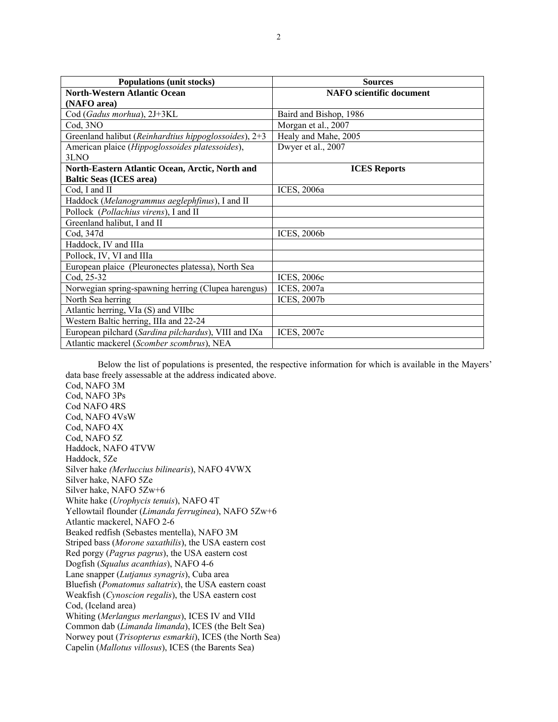| <b>Populations (unit stocks)</b>                      | <b>Sources</b>                  |
|-------------------------------------------------------|---------------------------------|
| <b>North-Western Atlantic Ocean</b>                   | <b>NAFO</b> scientific document |
| (NAFO area)                                           |                                 |
| Cod (Gadus morhua), 2J+3KL                            | Baird and Bishop, 1986          |
| Cod, 3NO                                              | Morgan et al., 2007             |
| Greenland halibut (Reinhardtius hippoglossoides), 2+3 | Healy and Mahe, 2005            |
| American plaice (Hippoglossoides platessoides),       | Dwyer et al., 2007              |
| 3LNO                                                  |                                 |
| North-Eastern Atlantic Ocean, Arctic, North and       | <b>ICES</b> Reports             |
| <b>Baltic Seas (ICES area)</b>                        |                                 |
| Cod, I and II                                         | ICES, 2006a                     |
| Haddock (Melanogrammus aeglephfinus), I and II        |                                 |
| Pollock (Pollachius virens), I and II                 |                                 |
| Greenland halibut, I and II                           |                                 |
| Cod, 347d                                             | <b>ICES, 2006b</b>              |
| Haddock, IV and IIIa                                  |                                 |
| Pollock, IV, VI and IIIa                              |                                 |
| European plaice (Pleuronectes platessa), North Sea    |                                 |
| Cod, 25-32                                            | <b>ICES, 2006c</b>              |
| Norwegian spring-spawning herring (Clupea harengus)   | ICES, 2007a                     |
| North Sea herring                                     | <b>ICES, 2007b</b>              |
| Atlantic herring, VIa (S) and VIIbc                   |                                 |
| Western Baltic herring, IIIa and 22-24                |                                 |
| European pilchard (Sardina pilchardus), VIII and IXa  | ICES, 2007c                     |
| Atlantic mackerel (Scomber scombrus), NEA             |                                 |

 Below the list of populations is presented, the respective information for which is available in the Mayers' data base freely assessable at the address indicated above.

Cod, NAFO 3М Cod, NAFO 3Ps Cod NAFO 4RS Cod, NAFO 4VsW Cod, NAFO 4Х Cod, NAFO 5Z Haddock, NAFO 4TVW Haddock, 5Ze Silver hake *(Merluccius bilinearis*), NAFO 4VWX Silver hake, NAFO 5Ze Silver hake, NAFO 5Zw+6 White hake (*Urophycis tenuis*), NAFO 4Т Yellowtail flounder (*Limanda ferruginea*), NAFO 5Zw+6 Atlantic mackerel, NAFO 2-6 Beaked redfish (Sebastes mentella), NAFO 3M Striped bass (*Morone saxathilis*), the USA eastern cost Red porgy (*Pagrus pagrus*), the USA eastern cost Dogfish (*Squalus acanthias*), NAFO 4-6 Lane snapper (*Lutjanus synagris*), Cuba area Bluefish (*Pomatomus saltatrix*), the USA eastern coast Weakfish (*Cynoscion regalis*), the USA eastern cost Cod, (Iceland area) Whiting (*Merlangus merlangus*), ICES IV and VIId Common dab (*Limanda limanda*), ICES (the Belt Sea) Norwey pout (*Trisopterus esmarkii*), ICES (the North Sea) Capelin (*Mallotus villosus*), ICES (the Barents Sea)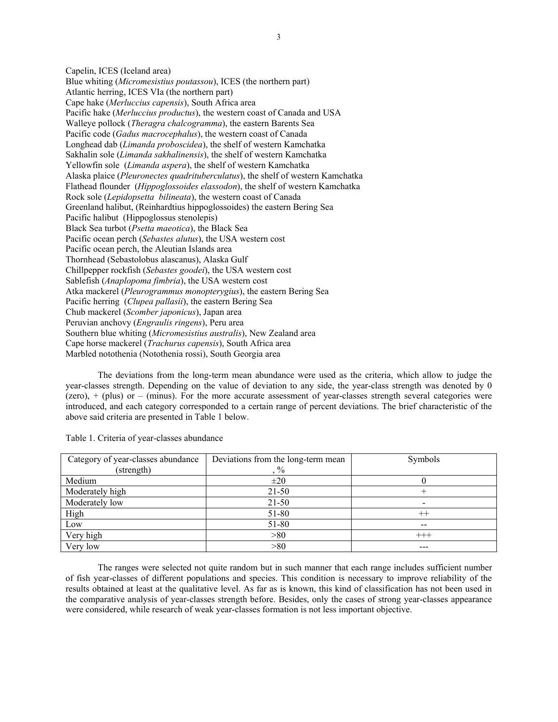Capelin, ICES (Iceland area) Blue whiting (*Micromesistius poutassou*), ICES (the northern part) Atlantic herring, ICES VIa (the northern part) Cape hake (*Merluccius capensis*), South Africa area Pacific hake (*Merluccius productus*), the western coast of Canada and USA Walleye pollock (*Theragra chalcogramma*), the eastern Barents Sea Pacific code (*Gadus macrocephalus*), the western coast of Canada Longhead dab (*Limanda proboscidea*), the shelf of western Kamchatka Sakhalin sole (*Limanda sakhalinensis*), the shelf of western Kamchatka Yellowfin sole (*Limanda aspera*), the shelf of western Kamchatka Alaska plaice (*Pleuronectes quadrituberculatus*), the shelf of western Kamchatka Flathead flounder (*Hippoglossoides elassodon*), the shelf of western Kamchatka Rock sole (*Lepidopsetta bilineata*), the western coast of Canada Greenland halibut, (Reinhardtius hippoglossoides) the eastern Bering Sea Pacific halibut (Hippoglossus stenolepis) Black Sea turbot (*Psetta maeotica*), the Black Sea Pacific ocean perch (*Sebastes alutus*), the USA western cost Pacific ocean perch, the Aleutian Islands area Thornhead (Sebastolobus alascanus), Alaska Gulf Chillpepper rockfish (*Sebastes goodei*), the USA western cost Sablefish (*Anaplopoma fimbria*), the USA western cost Atka mackerel (*Pleurogrammus monopterygius*), the eastern Bering Sea Pacific herring (*Clupea pallasii*), the eastern Bering Sea Chub mackerel (*Scomber japonicus*), Japan area Peruvian anchovy (*Engraulis ringens*), Peru area Southern blue whiting (*Micromesistius australis*), New Zealand area Cape horse mackerel (*Trachurus capensis*), South Africa area Marbled notothenia (Notothenia rossi), South Georgia area

 The deviations from the long-term mean abundance were used as the criteria, which allow to judge the year-classes strength. Depending on the value of deviation to any side, the year-class strength was denoted by 0 (zero),  $+$  (plus) or – (minus). For the more accurate assessment of year-classes strength several categories were introduced, and each category corresponded to a certain range of percent deviations. The brief characteristic of the above said criteria are presented in Table 1 below.

| Category of year-classes abundance | Deviations from the long-term mean | Symbols                  |
|------------------------------------|------------------------------------|--------------------------|
| (strength)                         | $\%$                               |                          |
| Medium                             | $\pm 20$                           |                          |
| Moderately high                    | $21 - 50$                          |                          |
| Moderately low                     | $21 - 50$                          | $\overline{\phantom{0}}$ |
| High                               | 51-80                              | $^{++}$                  |
| Low                                | 51-80                              | --                       |
| Very high                          | >80                                | $+++$                    |
| Very low                           | > 80                               | ---                      |

Table 1. Criteria of year-classes abundance

 The ranges were selected not quite random but in such manner that each range includes sufficient number of fish year-classes of different populations and species. This condition is necessary to improve reliability of the results obtained at least at the qualitative level. As far as is known, this kind of classification has not been used in the comparative analysis of year-classes strength before. Besides, only the cases of strong year-classes appearance were considered, while research of weak year-classes formation is not less important objective.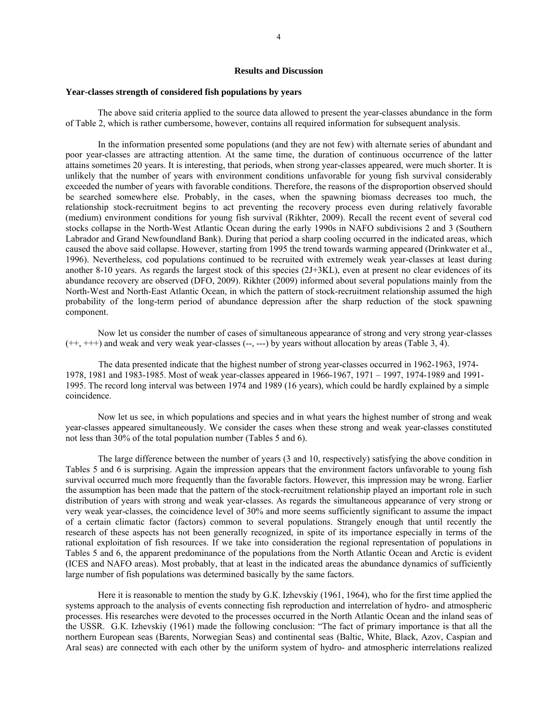#### **Results and Discussion**

#### **Year-classes strength of considered fish populations by years**

 The above said criteria applied to the source data allowed to present the year-classes abundance in the form of Table 2, which is rather cumbersome, however, contains all required information for subsequent analysis.

In the information presented some populations (and they are not few) with alternate series of abundant and poor year-classes are attracting attention. At the same time, the duration of continuous occurrence of the latter attains sometimes 20 years. It is interesting, that periods, when strong year-classes appeared, were much shorter. It is unlikely that the number of years with environment conditions unfavorable for young fish survival considerably exceeded the number of years with favorable conditions. Therefore, the reasons of the disproportion observed should be searched somewhere else. Probably, in the cases, when the spawning biomass decreases too much, the relationship stock-recruitment begins to act preventing the recovery process even during relatively favorable (medium) environment conditions for young fish survival (Rikhter, 2009). Recall the recent event of several cod stocks collapse in the North-West Atlantic Ocean during the early 1990s in NAFO subdivisions 2 and 3 (Southern Labrador and Grand Newfoundland Bank). During that period a sharp cooling occurred in the indicated areas, which caused the above said collapse. However, starting from 1995 the trend towards warming appeared (Drinkwater et al., 1996). Nevertheless, cod populations continued to be recruited with extremely weak year-classes at least during another 8-10 years. As regards the largest stock of this species (2J+3KL), even at present no clear evidences of its abundance recovery are observed (DFO, 2009). Rikhter (2009) informed about several populations mainly from the North-West and North-East Atlantic Ocean, in which the pattern of stock-recruitment relationship assumed the high probability of the long-term period of abundance depression after the sharp reduction of the stock spawning component.

 Now let us consider the number of cases of simultaneous appearance of strong and very strong year-classes  $(++)$ ,  $+++)$  and weak and very weak year-classes  $(-, --)$  by years without allocation by areas (Table 3, 4).

 The data presented indicate that the highest number of strong year-classes occurred in 1962-1963, 1974- 1978, 1981 and 1983-1985. Most of weak year-classes appeared in 1966-1967, 1971 – 1997, 1974-1989 and 1991- 1995. The record long interval was between 1974 and 1989 (16 years), which could be hardly explained by a simple coincidence.

 Now let us see, in which populations and species and in what years the highest number of strong and weak year-classes appeared simultaneously. We consider the cases when these strong and weak year-classes constituted not less than 30% of the total population number (Tables 5 and 6).

The large difference between the number of years (3 and 10, respectively) satisfying the above condition in Tables 5 and 6 is surprising. Again the impression appears that the environment factors unfavorable to young fish survival occurred much more frequently than the favorable factors. However, this impression may be wrong. Earlier the assumption has been made that the pattern of the stock-recruitment relationship played an important role in such distribution of years with strong and weak year-classes. As regards the simultaneous appearance of very strong or very weak year-classes, the coincidence level of 30% and more seems sufficiently significant to assume the impact of a certain climatic factor (factors) common to several populations. Strangely enough that until recently the research of these aspects has not been generally recognized, in spite of its importance especially in terms of the rational exploitation of fish resources. If we take into consideration the regional representation of populations in Tables 5 and 6, the apparent predominance of the populations from the North Atlantic Ocean and Arctic is evident (ICES and NAFO areas). Most probably, that at least in the indicated areas the abundance dynamics of sufficiently large number of fish populations was determined basically by the same factors.

Here it is reasonable to mention the study by G.К. Izhevskiy (1961, 1964), who for the first time applied the systems approach to the analysis of events connecting fish reproduction and interrelation of hydro- and atmospheric processes. His researches were devoted to the processes occurred in the North Atlantic Ocean and the inland seas of the USSR. G.К. Izhevskiy (1961) made the following conclusion: "The fact of primary importance is that all the northern European seas (Barents, Norwegian Seas) and continental seas (Baltic, White, Black, Azov, Caspian and Aral seas) are connected with each other by the uniform system of hydro- and atmospheric interrelations realized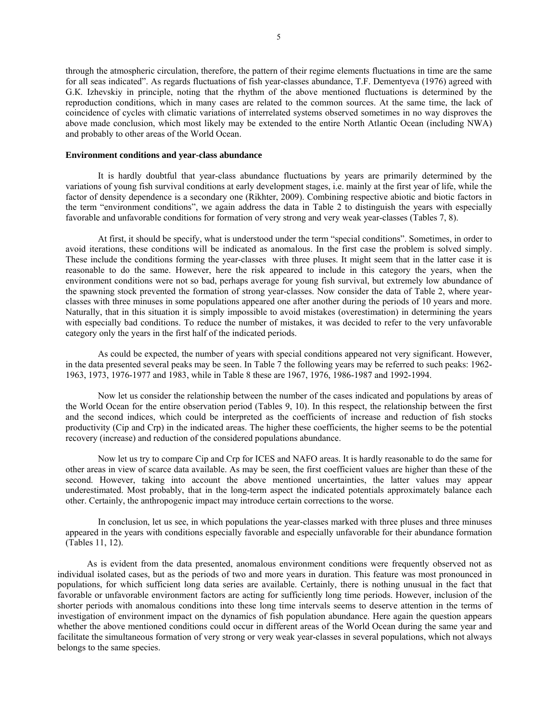through the atmospheric circulation, therefore, the pattern of their regime elements fluctuations in time are the same for all seas indicated". As regards fluctuations of fish year-classes abundance, Т.F. Dementyeva (1976) agreed with G.К. Izhevskiy in principle, noting that the rhythm of the above mentioned fluctuations is determined by the reproduction conditions, which in many cases are related to the common sources. At the same time, the lack of coincidence of cycles with climatic variations of interrelated systems observed sometimes in no way disproves the above made conclusion, which most likely may be extended to the entire North Atlantic Ocean (including NWA) and probably to other areas of the World Ocean.

#### **Environment conditions and year-class abundance**

It is hardly doubtful that year-class abundance fluctuations by years are primarily determined by the variations of young fish survival conditions at early development stages, i.e. mainly at the first year of life, while the factor of density dependence is a secondary one (Rikhter, 2009). Combining respective abiotic and biotic factors in the term "environment conditions", we again address the data in Table 2 to distinguish the years with especially favorable and unfavorable conditions for formation of very strong and very weak year-classes (Tables 7, 8).

At first, it should be specify, what is understood under the term "special conditions". Sometimes, in order to avoid iterations, these conditions will be indicated as anomalous. In the first case the problem is solved simply. These include the conditions forming the year-classes with three pluses. It might seem that in the latter case it is reasonable to do the same. However, here the risk appeared to include in this category the years, when the environment conditions were not so bad, perhaps average for young fish survival, but extremely low abundance of the spawning stock prevented the formation of strong year-classes. Now consider the data of Table 2, where yearclasses with three minuses in some populations appeared one after another during the periods of 10 years and more. Naturally, that in this situation it is simply impossible to avoid mistakes (overestimation) in determining the years with especially bad conditions. To reduce the number of mistakes, it was decided to refer to the very unfavorable category only the years in the first half of the indicated periods.

As could be expected, the number of years with special conditions appeared not very significant. However, in the data presented several peaks may be seen. In Table 7 the following years may be referred to such peaks: 1962- 1963, 1973, 1976-1977 and 1983, while in Table 8 these are 1967, 1976, 1986-1987 and 1992-1994.

Now let us consider the relationship between the number of the cases indicated and populations by areas of the World Ocean for the entire observation period (Tables 9, 10). In this respect, the relationship between the first and the second indices, which could be interpreted as the coefficients of increase and reduction of fish stocks productivity (Cip and Crp) in the indicated areas. The higher these coefficients, the higher seems to be the potential recovery (increase) and reduction of the considered populations abundance.

Now let us try to compare Cip and Crp for ICES and NAFO areas. It is hardly reasonable to do the same for other areas in view of scarce data available. As may be seen, the first coefficient values are higher than these of the second. However, taking into account the above mentioned uncertainties, the latter values may appear underestimated. Most probably, that in the long-term aspect the indicated potentials approximately balance each other. Certainly, the anthropogenic impact may introduce certain corrections to the worse.

In conclusion, let us see, in which populations the year-classes marked with three pluses and three minuses appeared in the years with conditions especially favorable and especially unfavorable for their abundance formation (Tables 11, 12).

 As is evident from the data presented, anomalous environment conditions were frequently observed not as individual isolated cases, but as the periods of two and more years in duration. This feature was most pronounced in populations, for which sufficient long data series are available. Certainly, there is nothing unusual in the fact that favorable or unfavorable environment factors are acting for sufficiently long time periods. However, inclusion of the shorter periods with anomalous conditions into these long time intervals seems to deserve attention in the terms of investigation of environment impact on the dynamics of fish population abundance. Here again the question appears whether the above mentioned conditions could occur in different areas of the World Ocean during the same year and facilitate the simultaneous formation of very strong or very weak year-classes in several populations, which not always belongs to the same species.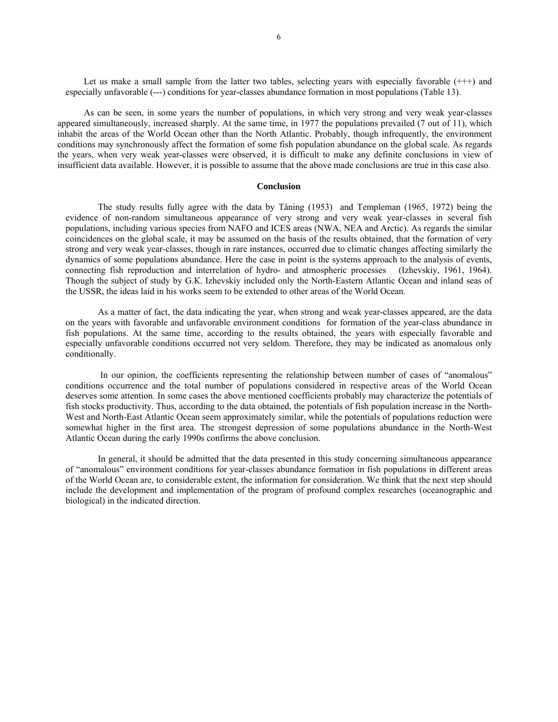Let us make a small sample from the latter two tables, selecting years with especially favorable  $(++)$  and especially unfavorable (---) conditions for year-classes abundance formation in most populations (Table 13).

 As can be seen, in some years the number of populations, in which very strong and very weak year-classes appeared simultaneously, increased sharply. At the same time, in 1977 the populations prevailed (7 out of 11), which inhabit the areas of the World Ocean other than the North Atlantic. Probably, though infrequently, the environment conditions may synchronously affect the formation of some fish population abundance on the global scale. As regards the years, when very weak year-classes were observed, it is difficult to make any definite conclusions in view of insufficient data available. However, it is possible to assume that the above made conclusions are true in this case also.

#### **Conclusion**

The study results fully agree with the data by Tåning (1953) and Templeman (1965, 1972) being the evidence of non-random simultaneous appearance of very strong and very weak year-classes in several fish populations, including various species from NAFO and ICES areas (NWA, NEA and Arctic). As regards the similar coincidences on the global scale, it may be assumed on the basis of the results obtained, that the formation of very strong and very weak year-classes, though in rare instances, occurred due to climatic changes affecting similarly the dynamics of some populations abundance. Here the case in point is the systems approach to the analysis of events, connecting fish reproduction and interrelation of hydro- and atmospheric processes (Izhevskiy, 1961, 1964). Though the subject of study by G.К. Izhevskiy included only the North-Eastern Atlantic Ocean and inland seas of the USSR, the ideas laid in his works seem to be extended to other areas of the World Ocean.

As a matter of fact, the data indicating the year, when strong and weak year-classes appeared, are the data on the years with favorable and unfavorable environment conditions for formation of the year-class abundance in fish populations. At the same time, according to the results obtained, the years with especially favorable and especially unfavorable conditions occurred not very seldom. Therefore, they may be indicated as anomalous only conditionally.

 In our opinion, the coefficients representing the relationship between number of cases of "anomalous" conditions occurrence and the total number of populations considered in respective areas of the World Ocean deserves some attention. In some cases the above mentioned coefficients probably may characterize the potentials of fish stocks productivity. Thus, according to the data obtained, the potentials of fish population increase in the North-West and North-East Atlantic Ocean seem approximately similar, while the potentials of populations reduction were somewhat higher in the first area. The strongest depression of some populations abundance in the North-West Atlantic Ocean during the early 1990s confirms the above conclusion.

In general, it should be admitted that the data presented in this study concerning simultaneous appearance of "anomalous" environment conditions for year-classes abundance formation in fish populations in different areas of the World Ocean are, to considerable extent, the information for consideration. We think that the next step should include the development and implementation of the program of profound complex researches (oceanographic and biological) in the indicated direction.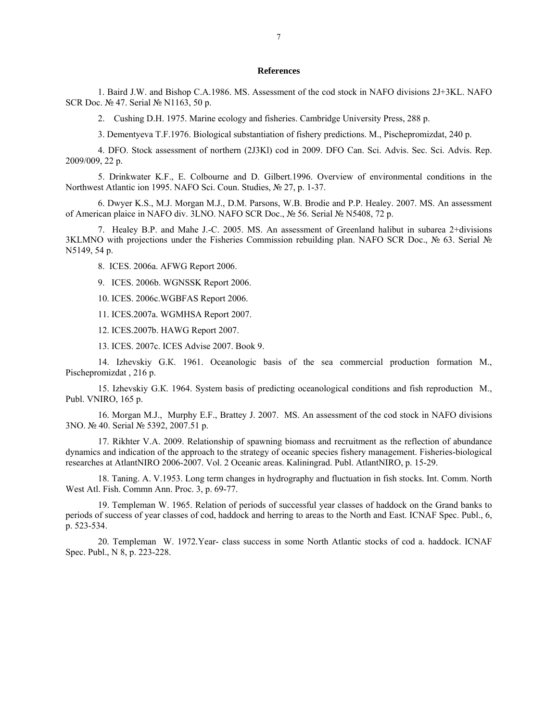#### **References**

1. Вaird J.W. and Bishop C.A.1986. MS. Assessment of the cod stock in NAFO divisions 2J+3KL. NAFO SCR Doc. № 47. Serial № N1163, 50 p.

2. Cushing D.H. 1975. Marine ecology and fisheries. Cambridge University Press, 288 p.

3. Dementyeva Т.F.1976. Biological substantiation of fishery predictions. М., Pischepromizdat, 240 p.

4. DFO. Stock assessment of northern (2J3Kl) cod in 2009. DFO Can. Sci. Advis. Sec. Sci. Advis. Rep. 2009/009, 22 p.

5. Drinkwater K.F., E. Colbourne and D. Gilbert.1996. Overview of environmental conditions in the Northwest Atlantic ion 1995. NAFO Sci. Coun. Studies, № 27, p. 1-37.

6. Dwyer K.S., M.J. Morgan M.J., D.M. Parsons, W.B. Brodie and P.P. Healey. 2007. MS. An assessment of American plaice in NAFO div. 3LNO. NAFO SCR Doc., № 56. Serial № N5408, 72 p.

7. Healey B.P. and Mahe J.-C. 2005. MS. An assessment of Greenland halibut in subarea 2+divisions 3KLMNO with projections under the Fisheries Commission rebuilding plan. NAFO SCR Doc., № 63. Serial № N5149, 54 p.

8. ICES. 2006a. AFWG Report 2006.

9. ICES. 2006b. WGNSSK Report 2006.

10. ICES. 2006c.WGBFAS Report 2006.

11. ICES.2007a. WGMHSA Report 2007.

12. ICES.2007b. HAWG Report 2007.

13. ICES. 2007c. ICES Advise 2007. Book 9.

14. Izhevskiy G.К. 1961. Oceanologic basis of the sea commercial production formation М., Pischepromizdat , 216 p.

15. Izhevskiy G.К. 1964. System basis of predicting oceanological conditions and fish reproduction M., Publ. VNIRO, 165 p.

16. Morgan M.J., Murphy E.F., Brattey J. 2007. MS. An assessment of the cod stock in NAFO divisions 3NO. № 40. Serial № 5392, 2007.51 p.

17. Rikhter V.A. 2009. Relationship of spawning biomass and recruitment as the reflection of abundance dynamics and indication of the approach to the strategy of oceanic species fishery management. Fisheries-biological researches at AtlantNIRO 2006-2007. Vol. 2 Oceanic areas. Kaliningrad. Publ. AtlantNIRO, p. 15-29.

18. Taning. A. V.1953. Long term changes in hydrography and fluctuation in fish stocks. Int. Comm. North West Atl. Fish. Commn Ann. Proc. 3, p. 69-77.

19. Templeman W. 1965. Relation of periods of successful year classes of haddock on the Grand banks to periods of success of year classes of cod, haddock and herring to areas to the North and East. ICNAF Spec. Publ., 6, p. 523-534.

20. Templeman W. 1972.Year- class success in some North Atlantic stocks of cod a. haddock. ICNAF Spec. Publ., N 8, p. 223-228.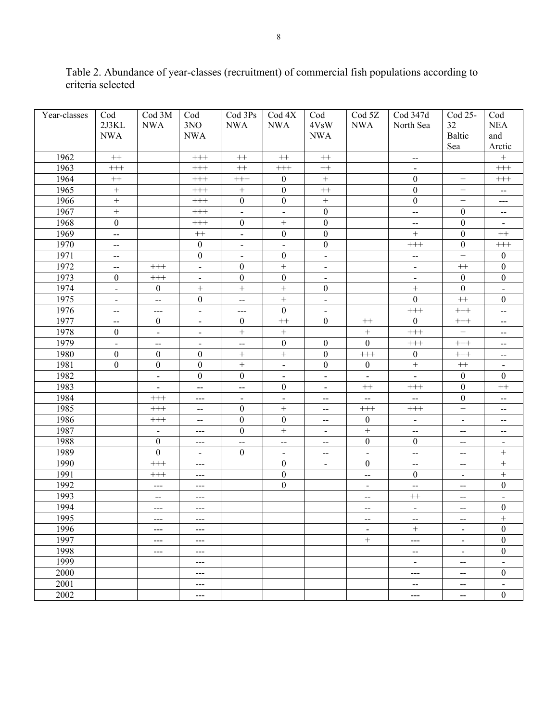| Year-classes | Cod                      | Cod 3M                   | Cod                        | Cod 3Ps                  | $\text{Cod } 4X$         | Cod                      | Cod <sub>5Z</sub>        | Cod 347d                    | Cod 25-                     | Cod                                           |
|--------------|--------------------------|--------------------------|----------------------------|--------------------------|--------------------------|--------------------------|--------------------------|-----------------------------|-----------------------------|-----------------------------------------------|
|              | 2J3KL                    | <b>NWA</b>               | 3NO                        | <b>NWA</b>               | <b>NWA</b>               | 4VsW                     | <b>NWA</b>               | North Sea                   | 32                          | <b>NEA</b>                                    |
|              | <b>NWA</b>               |                          | <b>NWA</b>                 |                          |                          | <b>NWA</b>               |                          |                             | Baltic                      | and                                           |
|              |                          |                          |                            |                          |                          |                          |                          |                             | Sea                         | Arctic                                        |
| 1962         | $++$                     |                          | $^{+++}$                   | $^{++}\,$                | $++$                     | $^{++}$                  |                          | $\mathcal{L}_{\mathcal{L}}$ |                             | $\boldsymbol{+}$                              |
| 1963         | $^{+++}$                 |                          | $\!+\!+\!$                 | $^{++}\,$                | $^{+++}$                 | $^{++}$                  |                          |                             |                             | $^{+++}$                                      |
| 1964         | $^{++}$                  |                          | $\!+\!+\!$                 | $^{+++}$                 | $\boldsymbol{0}$         | $\boldsymbol{+}$         |                          | $\boldsymbol{0}$            | $\boldsymbol{+}$            | $^{+++}$                                      |
| 1965         | $\boldsymbol{+}$         |                          | $^{+++}$                   | $\boldsymbol{+}$         | $\boldsymbol{0}$         | $^{++}\,$                |                          | $\boldsymbol{0}$            | $\boldsymbol{+}$            | $\mathord{\hspace{1pt}\text{--}\hspace{1pt}}$ |
| 1966         | $\boldsymbol{+}$         |                          | $\!+\!+\!$                 | $\mathbf{0}$             | $\boldsymbol{0}$         | $\boldsymbol{+}$         |                          | $\boldsymbol{0}$            | $\boldsymbol{+}$            | $---$                                         |
| 1967         | $\boldsymbol{+}$         |                          | $\!+\!+\!$                 | $\Box$                   | $\overline{a}$           | $\mathbf{0}$             |                          | L,                          | $\boldsymbol{0}$            | $\hspace{0.05cm}$ – $\hspace{0.05cm}$         |
| 1968         | $\boldsymbol{0}$         |                          | $\!+\!+\!$                 | $\mathbf{0}$             | $\ddot{}$                | $\mathbf{0}$             |                          | $\overline{\phantom{a}}$    | $\boldsymbol{0}$            |                                               |
| 1969         | $\overline{a}$           |                          | $^{++}\,$                  | $\frac{1}{2}$            | $\boldsymbol{0}$         | $\boldsymbol{0}$         |                          | $\ddot{}$                   | $\boldsymbol{0}$            | $^{++}$                                       |
| 1970         | $\overline{\phantom{m}}$ |                          | $\boldsymbol{0}$           | $\blacksquare$           | $\overline{a}$           | $\mathbf{0}$             |                          | $^{+++}$                    | $\boldsymbol{0}$            | $^{+++}$                                      |
| 1971         | $\overline{\phantom{a}}$ |                          | $\boldsymbol{0}$           | $\blacksquare$           | $\boldsymbol{0}$         | $\blacksquare$           |                          | $\overline{\phantom{a}}$    | $\ddot{}$                   | $\mathbf{0}$                                  |
| 1972         | $\overline{\phantom{a}}$ | $^{+++}$                 | $\overline{a}$             | $\mathbf{0}$             | $\qquad \qquad +$        | $\blacksquare$           |                          | $\overline{a}$              | $^{++}\,$                   | $\boldsymbol{0}$                              |
| 1973         | $\theta$                 | $^{+++}$                 | $\overline{\phantom{a}}$   | $\mathbf{0}$             | $\boldsymbol{0}$         | $\blacksquare$           |                          | $\blacksquare$              | $\mathbf{0}$                | $\boldsymbol{0}$                              |
| 1974         | $\blacksquare$           | $\overline{0}$           |                            | $+$                      | $\qquad \qquad +$        | $\theta$                 |                          | $\qquad \qquad +$           | $\boldsymbol{0}$            | $\overline{\phantom{0}}$                      |
| 1975         | $\blacksquare$           | $\bar{\mathbb{Z}}$       | $\mathbf{0}$               | $\overline{a}$           |                          | $\Box$                   |                          | $\mathbf{0}$                | $^{++}\,$                   | $\mathbf{0}$                                  |
| 1976         | $\overline{\phantom{a}}$ | $---$                    | $\blacksquare$             | $\overline{a}$           | $\boldsymbol{0}$         | $\blacksquare$           |                          | $+++$                       | $^{+++}$                    | $\overline{\phantom{m}}$                      |
| 1977         | $\overline{\phantom{a}}$ | $\theta$                 | $\overline{a}$             | $\mathbf{0}$             | $^{++}$                  | $\mathbf{0}$             | $\qquad \qquad +$        | $\mathbf{0}$                | $\!$                        | $\overline{\phantom{a}}$                      |
| 1978         | $\theta$                 | $\blacksquare$           | $\frac{1}{2}$              | $+$                      | $\boldsymbol{+}$         |                          | $+$                      | $\!+\!+\!$                  | $\boldsymbol{+}$            | $\overline{\phantom{m}}$                      |
| 1979         | $\blacksquare$           | $\overline{\phantom{a}}$ | $\blacksquare$             | $\overline{\phantom{a}}$ | $\boldsymbol{0}$         | $\boldsymbol{0}$         | $\overline{0}$           | $\!$                        | $^{+++}$                    | $\overline{\phantom{m}}$                      |
| 1980         | $\boldsymbol{0}$         | $\overline{0}$           | $\mathbf{0}$               | $+$                      | $\qquad \qquad +$        | $\boldsymbol{0}$         | $^{+++}$                 | $\mathbf{0}$                | $^{+++}$                    | $\overline{\phantom{a}}$                      |
| 1981         | $\mathbf{0}$             | $\overline{0}$           | $\mathbf{0}$               | $+$                      | $\Box$                   | $\boldsymbol{0}$         | $\theta$                 | $\boldsymbol{+}$            | $^{++}\,$                   | $\blacksquare$                                |
| 1982         |                          | $\blacksquare$           | $\mathbf{0}$               | $\mathbf{0}$             | $\blacksquare$           | $\blacksquare$           |                          | $\overline{a}$              | $\mathbf{0}$                | $\mathbf{0}$                                  |
| 1983         |                          | $\frac{1}{2}$            | $\frac{1}{2}$              | $\overline{\phantom{a}}$ | $\mathbf{0}$             | $\frac{1}{2}$            | $^{++}\,$                | $^{+++}$                    | $\boldsymbol{0}$            | $^{++}\,$                                     |
| 1984         |                          | $^{+++}$                 | $--$                       | $\blacksquare$           | $\blacksquare$           | $\overline{\phantom{a}}$ | $\overline{\phantom{a}}$ | $\overline{\phantom{a}}$    | $\boldsymbol{0}$            | $\overline{\phantom{a}}$                      |
| 1985         |                          | $^{+++}$                 | $\overline{\phantom{a}}$   | $\mathbf{0}$             |                          | $\overline{\phantom{a}}$ | $^{+++}$                 | $^{+++}$                    | $\boldsymbol{+}$            | $\overline{\phantom{a}}$                      |
| 1986         |                          | $^{+++}$                 | $\overline{\phantom{a}}$   | $\mathbf{0}$             | $\boldsymbol{0}$         | $\overline{\phantom{a}}$ | $\theta$                 | $\blacksquare$              | $\overline{a}$              | $\overline{\phantom{m}}$                      |
| 1987         |                          | $\blacksquare$           | $-$                        | $\mathbf{0}$             |                          | $\blacksquare$           | $\, +$                   | $\overline{\phantom{a}}$    | $\overline{\phantom{a}}$    | $\overline{\phantom{a}}$                      |
| 1988         |                          | $\mathbf{0}$             | $---$                      | $\equiv$                 | $\overline{\phantom{a}}$ | $\overline{\phantom{a}}$ | $\overline{0}$           | $\boldsymbol{0}$            | $\overline{\phantom{a}}$    | $\blacksquare$                                |
| 1989         |                          | $\mathbf{0}$             | $\blacksquare$             | $\mathbf{0}$             | $\blacksquare$           | $\overline{\phantom{a}}$ | $\blacksquare$           | $\bar{\mathbf{r}}$          | $\overline{\phantom{a}}$    | $\boldsymbol{+}$                              |
| 1990         |                          | $^{+++}$                 | $--$                       |                          | $\boldsymbol{0}$         | $\blacksquare$           | $\boldsymbol{0}$         | $\overline{\phantom{a}}$    | $\overline{\phantom{m}}$    | $\boldsymbol{+}$                              |
| 1991         |                          | $^{+++}$                 | $---$                      |                          | $\boldsymbol{0}$         |                          | $\frac{1}{2}$            | $\boldsymbol{0}$            | $\blacksquare$              | $\qquad \qquad +$                             |
| 1992         |                          | ---                      | $-$                        |                          | $\boldsymbol{0}$         |                          | $\blacksquare$           | L,                          | $\overline{\phantom{a}}$    | $\mathbf{0}$                                  |
| 1993         |                          | $\overline{\phantom{m}}$ | ---                        |                          |                          |                          | $\overline{\phantom{a}}$ | $^{++}\,$                   | $\overline{\phantom{m}}$    |                                               |
| 1994         |                          | ---                      | $-$                        |                          |                          |                          | $\overline{\phantom{a}}$ | $\blacksquare$              | $\overline{\phantom{a}}$    | $\boldsymbol{0}$                              |
| 1995         |                          |                          |                            |                          |                          |                          | --                       |                             |                             | $+$                                           |
| 1996         |                          | $---$                    | $---$                      |                          |                          |                          | $\blacksquare$           | $^{+}$                      | $\blacksquare$              | $\boldsymbol{0}$                              |
| 1997         |                          | $---$                    | $---$                      |                          |                          |                          | $+$                      | $\sim$ $\sim$               | $\blacksquare$              | $\boldsymbol{0}$                              |
| 1998         |                          | $---$                    | $\qquad \qquad - \qquad -$ |                          |                          |                          |                          | $\overline{\phantom{m}}$    | $\blacksquare$              | $\boldsymbol{0}$                              |
| 1999         |                          |                          | $---$                      |                          |                          |                          |                          | $\blacksquare$              | $\mathcal{L}_{\mathcal{F}}$ | $\overline{\phantom{a}}$                      |
| 2000         |                          |                          | $---$                      |                          |                          |                          |                          | $---$                       | $\overline{\phantom{m}}$    | $\boldsymbol{0}$                              |
| 2001         |                          |                          | $\qquad \qquad - \qquad -$ |                          |                          |                          |                          | $\overline{\phantom{m}}$    | $\overline{\phantom{m}}$    | $\blacksquare$                                |
| 2002         |                          |                          | $---$                      |                          |                          |                          |                          | $--$                        | $\mathcal{L}_{\mathcal{F}}$ | $\boldsymbol{0}$                              |

Table 2. Abundance of year-classes (recruitment) of commercial fish populations according to criteria selected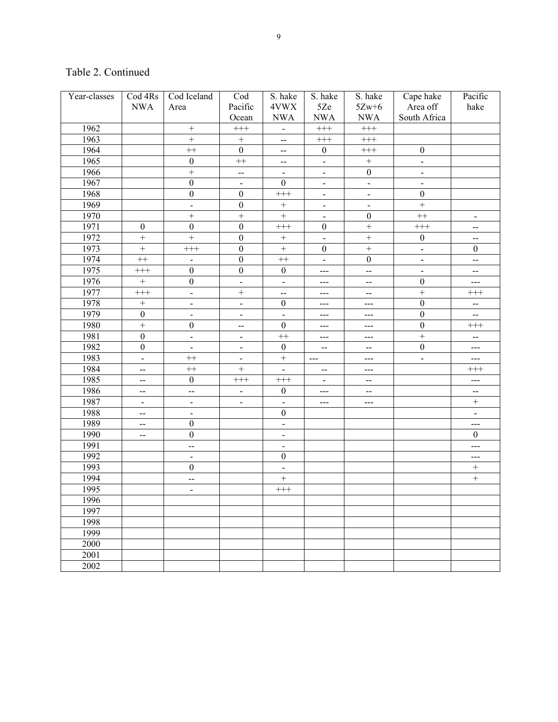| Year-classes | Cod 4Rs                  | Cod Iceland              | Cod                      | S. hake                                       | S. hake                      | S. hake                  | Cape hake        | Pacific                  |
|--------------|--------------------------|--------------------------|--------------------------|-----------------------------------------------|------------------------------|--------------------------|------------------|--------------------------|
|              | <b>NWA</b>               | Area                     | Pacific                  | 4VWX                                          | 5Ze                          | $5Zw+6$                  | Area off         | hake                     |
|              |                          |                          | Ocean                    | <b>NWA</b>                                    | <b>NWA</b>                   | $\rm NWA$                | South Africa     |                          |
| 1962         |                          | $\boldsymbol{+}$         | $^{+++}$                 | $\overline{\phantom{0}}$                      | $^{+++}$                     | $^{+++}$                 |                  |                          |
| 1963         |                          | $\ddot{}$                | $\boldsymbol{+}$         | $\mathord{\hspace{1pt}\text{--}\hspace{1pt}}$ | $^{+++}$                     | $\!+\!+\!$               |                  |                          |
| 1964         |                          | $^{++}$                  | $\mathbf{0}$             | $\overline{\phantom{a}}$                      | $\boldsymbol{0}$             | $^{+++}$                 | $\boldsymbol{0}$ |                          |
| 1965         |                          | $\boldsymbol{0}$         | $^{++}$                  | $-$                                           | $\blacksquare$               | $\! + \!$                | $\blacksquare$   |                          |
| 1966         |                          | $\overline{+}$           | --                       | $\overline{\phantom{0}}$                      | $\overline{\phantom{m}}$     | $\boldsymbol{0}$         | $\blacksquare$   |                          |
| 1967         |                          | $\overline{0}$           | $\blacksquare$           | $\boldsymbol{0}$                              | $\overline{\phantom{a}}$     | $\overline{a}$           | $\frac{1}{2}$    |                          |
| 1968         |                          | $\boldsymbol{0}$         | $\boldsymbol{0}$         | $^{+++}$                                      | $\overline{\phantom{m}}$     | $\overline{a}$           | $\boldsymbol{0}$ |                          |
| 1969         |                          | $\blacksquare$           | $\boldsymbol{0}$         |                                               | $\qquad \qquad \blacksquare$ | $\overline{\phantom{0}}$ | $\overline{+}$   |                          |
| 1970         |                          | $\ddot{}$                | $\ddot{}$                | $\boldsymbol{+}$                              | $\overline{\phantom{m}}$     | $\boldsymbol{0}$         | $^{++}$          | $\blacksquare$           |
| 1971         | $\boldsymbol{0}$         | $\boldsymbol{0}$         | $\boldsymbol{0}$         | $^{+++}$                                      | $\boldsymbol{0}$             | $\ddot{}$                | $^{+++}$         | --                       |
| 1972         | $\qquad \qquad +$        | $\overline{+}$           | $\boldsymbol{0}$         |                                               | $\overline{\phantom{a}}$     | $\qquad \qquad +$        | $\boldsymbol{0}$ | --                       |
| 1973         | $\qquad \qquad +$        | $^{+++}$                 | $\boldsymbol{0}$         | $\ddot{}$                                     | $\boldsymbol{0}$             | $\overline{+}$           | $\blacksquare$   | $\boldsymbol{0}$         |
| 1974         | $^{++}$                  | $\blacksquare$           | $\boldsymbol{0}$         | $^{++}$                                       | $\overline{\phantom{a}}$     | $\boldsymbol{0}$         | $\blacksquare$   | --                       |
| 1975         | $^{+++}$                 | $\boldsymbol{0}$         | $\boldsymbol{0}$         | $\boldsymbol{0}$                              | $--$                         | $\overline{a}$           | $\frac{1}{2}$    | --                       |
| 1976         | $\boldsymbol{+}$         | $\boldsymbol{0}$         | $\frac{1}{2}$            | $\overline{\phantom{0}}$                      | ---                          | $-$                      | $\boldsymbol{0}$ | ---                      |
| 1977         | $^{+++}$                 | $\frac{1}{2}$            | $\ddot{}$                | --                                            | ---                          | $\overline{\phantom{a}}$ | $\overline{+}$   | $^{+++}$                 |
| 1978         | $\! + \!$                | $\blacksquare$           | $\blacksquare$           | $\boldsymbol{0}$                              | ---                          | ---                      | $\boldsymbol{0}$ | --                       |
| 1979         | $\boldsymbol{0}$         | $\blacksquare$           | $\blacksquare$           | $\overline{a}$                                | ---                          | ---                      | $\boldsymbol{0}$ | $\overline{\phantom{a}}$ |
| 1980         | $\overline{+}$           | $\boldsymbol{0}$         | $\overline{\phantom{a}}$ | $\boldsymbol{0}$                              | ---                          | ---                      | $\boldsymbol{0}$ | $^{+++}$                 |
| 1981         | $\boldsymbol{0}$         | $\frac{1}{2}$            | $\overline{a}$           | $^{++}$                                       | ---                          | $---$                    | $\overline{+}$   | --                       |
| 1982         | $\boldsymbol{0}$         | $\overline{\phantom{a}}$ | $\overline{a}$           | $\boldsymbol{0}$                              | $-$                          | $\overline{\phantom{a}}$ | $\boldsymbol{0}$ | ---                      |
| 1983         | $\overline{\phantom{a}}$ | $^{++}$                  | $\blacksquare$           | $\ddot{}$                                     | $  -$                        | ---                      | $\overline{a}$   | ---                      |
| 1984         | --                       | $^{++}$                  | $^{+}$                   | $\overline{a}$                                | $-$                          | ---                      |                  | $^{+++}$                 |
| 1985         | $\overline{\phantom{a}}$ | $\boldsymbol{0}$         | $^{+++}$                 | $^{+++}$                                      |                              | $\overline{\phantom{a}}$ |                  | $---$                    |
| 1986         | $\overline{\phantom{a}}$ | $\overline{\phantom{a}}$ | $\blacksquare$           | $\boldsymbol{0}$                              | ---                          | $\mathbf{--}$            |                  | --                       |
| 1987         | $\overline{\phantom{a}}$ | $\blacksquare$           | $\blacksquare$           | $\overline{\phantom{a}}$                      | ---                          | $--$                     |                  | $\boldsymbol{+}$         |
| 1988         | $-$                      | $\overline{\phantom{a}}$ |                          | $\boldsymbol{0}$                              |                              |                          |                  | $\blacksquare$           |
| 1989         | $\mathbf{--}$            | $\boldsymbol{0}$         |                          | $\overline{\phantom{0}}$                      |                              |                          |                  | ---                      |
| 1990         | $\overline{a}$           | $\boldsymbol{0}$         |                          | $\overline{\phantom{a}}$                      |                              |                          |                  | $\boldsymbol{0}$         |
| 1991         |                          | $\overline{a}$           |                          | $\overline{\phantom{0}}$                      |                              |                          |                  | ---                      |
| 1992         |                          | $\blacksquare$           |                          | $\boldsymbol{0}$                              |                              |                          |                  | ---                      |
| 1993         |                          | $\boldsymbol{0}$         |                          | $\overline{\phantom{0}}$                      |                              |                          |                  | $\boldsymbol{+}$         |
| 1994         |                          | $\overline{\phantom{a}}$ |                          | $\qquad \qquad +$                             |                              |                          |                  | $\boldsymbol{+}$         |
| 1995         |                          | $\blacksquare$           |                          | $^{+++}$                                      |                              |                          |                  |                          |
| 1996         |                          |                          |                          |                                               |                              |                          |                  |                          |
| 1997         |                          |                          |                          |                                               |                              |                          |                  |                          |
| 1998         |                          |                          |                          |                                               |                              |                          |                  |                          |
| 1999         |                          |                          |                          |                                               |                              |                          |                  |                          |
| 2000         |                          |                          |                          |                                               |                              |                          |                  |                          |
| 2001         |                          |                          |                          |                                               |                              |                          |                  |                          |
| 2002         |                          |                          |                          |                                               |                              |                          |                  |                          |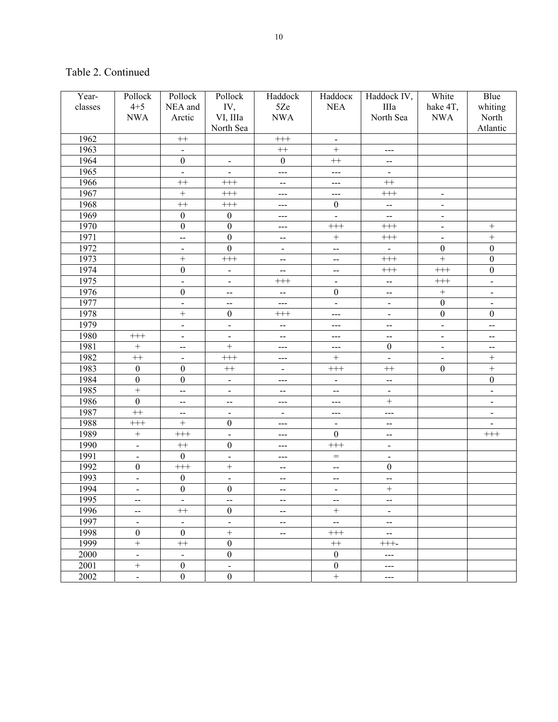| $4 + 5$<br>classes<br>NEA and<br>IV,<br>5Ze<br><b>NEA</b><br>IIIa<br>hake 4T,<br>whiting<br>North Sea<br><b>NWA</b><br>Arctic<br>VI, IIIa<br><b>NWA</b><br><b>NWA</b><br>North<br>North Sea<br>Atlantic<br>1962<br>$+++$<br>$^{++}$<br>$\blacksquare$<br>1963<br>$++$<br>$\boldsymbol{+}$<br>$\overline{\phantom{0}}$<br>---<br>1964<br>$\boldsymbol{0}$<br>$\boldsymbol{0}$<br>$++$<br>$\blacksquare$<br>$\overline{\phantom{a}}$<br>1965<br>$\overline{\phantom{0}}$<br>$\overline{\phantom{a}}$<br>$\blacksquare$<br>$--$<br>$--$<br>1966<br>$++$<br>$^{+++}$<br>$^{++}$<br>--<br>---<br>1967<br>$+$<br>$++++$<br>$^{+++}$<br>$\blacksquare$<br>---<br>---<br>1968<br>$++$<br>$^{+++}$<br>$\boldsymbol{0}$<br>$\overline{\phantom{a}}$<br>$\blacksquare$<br>---<br>1969<br>$\boldsymbol{0}$<br>$\theta$<br>$\overline{\phantom{a}}$<br>$-$<br>$\blacksquare$<br>---<br>1970<br>$\boldsymbol{0}$<br>$\boldsymbol{0}$<br>$^{+++}$<br>$^{+++}$<br>$\! + \!$<br>$\overline{\phantom{a}}$<br>---<br>1971<br>$\boldsymbol{0}$<br>$\ddot{}$<br>$\boldsymbol{+}$<br>$^{+++}$<br>$\overline{\phantom{a}}$<br>--<br>$-$<br>1972<br>$\boldsymbol{0}$<br>$\boldsymbol{0}$<br>$\boldsymbol{0}$<br>$\overline{\phantom{a}}$<br>$\blacksquare$<br>$\overline{\phantom{0}}$<br>$\blacksquare$<br>$\overline{+}$<br>$\overline{0}$<br>1973<br>$^{+++}$<br>$^{+}$<br>$^{+++}$<br>$\overline{\phantom{a}}$<br>--<br>1974<br>$\boldsymbol{0}$<br>$\boldsymbol{0}$<br>$^{+++}$<br>$^{+++}$<br>$\blacksquare$<br>$\overline{\phantom{a}}$<br>$-$<br>1975<br>$^{+++}$<br>$^{+++}$<br>$\overline{\phantom{a}}$<br>$\overline{\phantom{a}}$<br>$\blacksquare$<br>$\overline{a}$<br>$\overline{\phantom{a}}$<br>1976<br>$\boldsymbol{0}$<br>$\boldsymbol{0}$<br>$\! + \!$<br>$\blacksquare$<br>$-$<br>$-$<br>$\overline{\phantom{a}}$<br>1977<br>$\boldsymbol{0}$<br>$\overline{a}$<br>$\overline{\phantom{a}}$<br>$\overline{\phantom{a}}$<br>$-$<br>$-$<br>$\blacksquare$<br>1978<br>$\boldsymbol{0}$<br>$^{+}$<br>$\boldsymbol{0}$<br>$\boldsymbol{0}$<br>$^{+++}$<br>$\blacksquare$<br>---<br>1979<br>$\overline{\phantom{0}}$<br>$\overline{\phantom{a}}$<br>$\overline{\phantom{a}}$<br>$-$<br>$-$<br>$-$<br>---<br>1980<br>$^{+++}$<br>$\blacksquare$<br>$\overline{\phantom{a}}$<br>$\overline{\phantom{0}}$<br>--<br>--<br>$\overline{\phantom{a}}$<br>---<br>1981<br>$\ddot{}$<br>$\boldsymbol{0}$<br>$\boldsymbol{+}$<br>$\overline{\phantom{a}}$<br>$-$<br>$-$<br>---<br>---<br>1982<br>$++$<br>$^{+++}$<br>$\boldsymbol{+}$<br>$\qquad \qquad +$<br>$\mathbf{L}$<br>$\blacksquare$<br>$\overline{\phantom{0}}$<br>---<br>1983<br>$\boldsymbol{0}$<br>$\boldsymbol{0}$<br>$++$<br>$\boldsymbol{0}$<br>$\qquad \qquad +$<br>$++$<br>$^{+++}$<br>$\blacksquare$<br>1984<br>$\boldsymbol{0}$<br>$\boldsymbol{0}$<br>$\boldsymbol{0}$<br>$\blacksquare$<br>$\overline{\phantom{0}}$<br>$\overline{a}$<br>---<br>1985<br>$\ddot{}$<br>$\frac{1}{2}$<br>$\blacksquare$<br>$\blacksquare$<br>--<br>$\mathbf{--}$<br>$\overline{\phantom{a}}$<br>1986<br>$\boldsymbol{0}$<br>$\overline{a}$<br>$\overline{\phantom{0}}$<br>--<br>$--$<br>---<br>1987<br>$^{++}$<br>$\overline{a}$<br>---<br>$\blacksquare$<br>--<br>$\overline{\phantom{a}}$<br>---<br>1988<br>$^{+}$<br>$\boldsymbol{0}$<br>$^{+++}$<br>$\frac{1}{2}$<br>$\qquad \qquad \blacksquare$<br>$-$<br>---<br>1989<br>$^{+++}$<br>$\boldsymbol{0}$<br>$\! + \!$<br>$^{+++}$<br>$\frac{1}{2}$<br>$-$<br>---<br>1990<br>$\boldsymbol{0}$<br>$++$<br>$^{+++}$<br>$\overline{\phantom{a}}$<br>$\blacksquare$<br>---<br>1991<br>$\boldsymbol{0}$<br>$=$<br>$\overline{a}$<br>$\blacksquare$<br>$\blacksquare$<br>---<br>1992<br>$\boldsymbol{0}$<br>$^{+++}$<br>$^{+}$<br>$\boldsymbol{0}$<br>$\mathbf{--}$<br>$\hspace{0.05cm}$ – $\hspace{0.05cm}$<br>1993<br>$\boldsymbol{0}$<br>$\overline{a}$<br>$\overline{a}$<br>$\blacksquare$<br>$\overline{\phantom{a}}$<br>--<br>1994<br>$\boldsymbol{0}$<br>$\boldsymbol{0}$<br>$\! + \!$<br>$\overline{a}$<br>$-$<br>$\qquad \qquad \blacksquare$<br>1995<br>$\hspace{0.05cm}$ – $\hspace{0.05cm}$<br>$-$<br>$\hspace{0.05cm}$ – $\hspace{0.05cm}$<br>$-$<br>$\qquad \qquad -$<br>1996<br>$\boldsymbol{0}$<br>$^{++}$<br>$\! + \!\!\!\!$<br>$-$<br>$\blacksquare$<br>$\overline{\phantom{a}}$<br>1997<br>$\overline{\phantom{0}}$<br>$\overline{\phantom{a}}$<br>$\hspace{0.05cm}$ $\hspace{0.05cm}$<br>$\overline{\phantom{a}}$<br>$\blacksquare$<br>$\overline{\phantom{a}}$<br>1998<br>$\boldsymbol{0}$<br>$\boldsymbol{0}$<br>$^{+}$<br>$^{+++}$<br>$\overline{\phantom{a}}$<br>$-$<br>1999<br>$\boldsymbol{0}$<br>$^{++}$<br>$^{++}$<br>$+++-$ | Year- | Pollock | Pollock | Pollock          | Haddock | Haddock | Haddock IV, | White | Blue |
|------------------------------------------------------------------------------------------------------------------------------------------------------------------------------------------------------------------------------------------------------------------------------------------------------------------------------------------------------------------------------------------------------------------------------------------------------------------------------------------------------------------------------------------------------------------------------------------------------------------------------------------------------------------------------------------------------------------------------------------------------------------------------------------------------------------------------------------------------------------------------------------------------------------------------------------------------------------------------------------------------------------------------------------------------------------------------------------------------------------------------------------------------------------------------------------------------------------------------------------------------------------------------------------------------------------------------------------------------------------------------------------------------------------------------------------------------------------------------------------------------------------------------------------------------------------------------------------------------------------------------------------------------------------------------------------------------------------------------------------------------------------------------------------------------------------------------------------------------------------------------------------------------------------------------------------------------------------------------------------------------------------------------------------------------------------------------------------------------------------------------------------------------------------------------------------------------------------------------------------------------------------------------------------------------------------------------------------------------------------------------------------------------------------------------------------------------------------------------------------------------------------------------------------------------------------------------------------------------------------------------------------------------------------------------------------------------------------------------------------------------------------------------------------------------------------------------------------------------------------------------------------------------------------------------------------------------------------------------------------------------------------------------------------------------------------------------------------------------------------------------------------------------------------------------------------------------------------------------------------------------------------------------------------------------------------------------------------------------------------------------------------------------------------------------------------------------------------------------------------------------------------------------------------------------------------------------------------------------------------------------------------------------------------------------------------------------------------------------------------------------------------------------------------------------------------------------------------------------------------------------------------------------------------------------------------------------------------------------------------------------------------------------------------------------------------------------------------------------------------------------------------------------------------------------------------------------------------------------------------------------------------------------------------------------------------------------------------------------------------------------------------------------------------------------------------------------------------------------------------------------------------------------------------------------------------------------------------------------------------------------------|-------|---------|---------|------------------|---------|---------|-------------|-------|------|
|                                                                                                                                                                                                                                                                                                                                                                                                                                                                                                                                                                                                                                                                                                                                                                                                                                                                                                                                                                                                                                                                                                                                                                                                                                                                                                                                                                                                                                                                                                                                                                                                                                                                                                                                                                                                                                                                                                                                                                                                                                                                                                                                                                                                                                                                                                                                                                                                                                                                                                                                                                                                                                                                                                                                                                                                                                                                                                                                                                                                                                                                                                                                                                                                                                                                                                                                                                                                                                                                                                                                                                                                                                                                                                                                                                                                                                                                                                                                                                                                                                                                                                                                                                                                                                                                                                                                                                                                                                                                                                                                                                                                                                    |       |         |         |                  |         |         |             |       |      |
|                                                                                                                                                                                                                                                                                                                                                                                                                                                                                                                                                                                                                                                                                                                                                                                                                                                                                                                                                                                                                                                                                                                                                                                                                                                                                                                                                                                                                                                                                                                                                                                                                                                                                                                                                                                                                                                                                                                                                                                                                                                                                                                                                                                                                                                                                                                                                                                                                                                                                                                                                                                                                                                                                                                                                                                                                                                                                                                                                                                                                                                                                                                                                                                                                                                                                                                                                                                                                                                                                                                                                                                                                                                                                                                                                                                                                                                                                                                                                                                                                                                                                                                                                                                                                                                                                                                                                                                                                                                                                                                                                                                                                                    |       |         |         |                  |         |         |             |       |      |
|                                                                                                                                                                                                                                                                                                                                                                                                                                                                                                                                                                                                                                                                                                                                                                                                                                                                                                                                                                                                                                                                                                                                                                                                                                                                                                                                                                                                                                                                                                                                                                                                                                                                                                                                                                                                                                                                                                                                                                                                                                                                                                                                                                                                                                                                                                                                                                                                                                                                                                                                                                                                                                                                                                                                                                                                                                                                                                                                                                                                                                                                                                                                                                                                                                                                                                                                                                                                                                                                                                                                                                                                                                                                                                                                                                                                                                                                                                                                                                                                                                                                                                                                                                                                                                                                                                                                                                                                                                                                                                                                                                                                                                    |       |         |         |                  |         |         |             |       |      |
|                                                                                                                                                                                                                                                                                                                                                                                                                                                                                                                                                                                                                                                                                                                                                                                                                                                                                                                                                                                                                                                                                                                                                                                                                                                                                                                                                                                                                                                                                                                                                                                                                                                                                                                                                                                                                                                                                                                                                                                                                                                                                                                                                                                                                                                                                                                                                                                                                                                                                                                                                                                                                                                                                                                                                                                                                                                                                                                                                                                                                                                                                                                                                                                                                                                                                                                                                                                                                                                                                                                                                                                                                                                                                                                                                                                                                                                                                                                                                                                                                                                                                                                                                                                                                                                                                                                                                                                                                                                                                                                                                                                                                                    |       |         |         |                  |         |         |             |       |      |
|                                                                                                                                                                                                                                                                                                                                                                                                                                                                                                                                                                                                                                                                                                                                                                                                                                                                                                                                                                                                                                                                                                                                                                                                                                                                                                                                                                                                                                                                                                                                                                                                                                                                                                                                                                                                                                                                                                                                                                                                                                                                                                                                                                                                                                                                                                                                                                                                                                                                                                                                                                                                                                                                                                                                                                                                                                                                                                                                                                                                                                                                                                                                                                                                                                                                                                                                                                                                                                                                                                                                                                                                                                                                                                                                                                                                                                                                                                                                                                                                                                                                                                                                                                                                                                                                                                                                                                                                                                                                                                                                                                                                                                    |       |         |         |                  |         |         |             |       |      |
|                                                                                                                                                                                                                                                                                                                                                                                                                                                                                                                                                                                                                                                                                                                                                                                                                                                                                                                                                                                                                                                                                                                                                                                                                                                                                                                                                                                                                                                                                                                                                                                                                                                                                                                                                                                                                                                                                                                                                                                                                                                                                                                                                                                                                                                                                                                                                                                                                                                                                                                                                                                                                                                                                                                                                                                                                                                                                                                                                                                                                                                                                                                                                                                                                                                                                                                                                                                                                                                                                                                                                                                                                                                                                                                                                                                                                                                                                                                                                                                                                                                                                                                                                                                                                                                                                                                                                                                                                                                                                                                                                                                                                                    |       |         |         |                  |         |         |             |       |      |
|                                                                                                                                                                                                                                                                                                                                                                                                                                                                                                                                                                                                                                                                                                                                                                                                                                                                                                                                                                                                                                                                                                                                                                                                                                                                                                                                                                                                                                                                                                                                                                                                                                                                                                                                                                                                                                                                                                                                                                                                                                                                                                                                                                                                                                                                                                                                                                                                                                                                                                                                                                                                                                                                                                                                                                                                                                                                                                                                                                                                                                                                                                                                                                                                                                                                                                                                                                                                                                                                                                                                                                                                                                                                                                                                                                                                                                                                                                                                                                                                                                                                                                                                                                                                                                                                                                                                                                                                                                                                                                                                                                                                                                    |       |         |         |                  |         |         |             |       |      |
|                                                                                                                                                                                                                                                                                                                                                                                                                                                                                                                                                                                                                                                                                                                                                                                                                                                                                                                                                                                                                                                                                                                                                                                                                                                                                                                                                                                                                                                                                                                                                                                                                                                                                                                                                                                                                                                                                                                                                                                                                                                                                                                                                                                                                                                                                                                                                                                                                                                                                                                                                                                                                                                                                                                                                                                                                                                                                                                                                                                                                                                                                                                                                                                                                                                                                                                                                                                                                                                                                                                                                                                                                                                                                                                                                                                                                                                                                                                                                                                                                                                                                                                                                                                                                                                                                                                                                                                                                                                                                                                                                                                                                                    |       |         |         |                  |         |         |             |       |      |
|                                                                                                                                                                                                                                                                                                                                                                                                                                                                                                                                                                                                                                                                                                                                                                                                                                                                                                                                                                                                                                                                                                                                                                                                                                                                                                                                                                                                                                                                                                                                                                                                                                                                                                                                                                                                                                                                                                                                                                                                                                                                                                                                                                                                                                                                                                                                                                                                                                                                                                                                                                                                                                                                                                                                                                                                                                                                                                                                                                                                                                                                                                                                                                                                                                                                                                                                                                                                                                                                                                                                                                                                                                                                                                                                                                                                                                                                                                                                                                                                                                                                                                                                                                                                                                                                                                                                                                                                                                                                                                                                                                                                                                    |       |         |         |                  |         |         |             |       |      |
|                                                                                                                                                                                                                                                                                                                                                                                                                                                                                                                                                                                                                                                                                                                                                                                                                                                                                                                                                                                                                                                                                                                                                                                                                                                                                                                                                                                                                                                                                                                                                                                                                                                                                                                                                                                                                                                                                                                                                                                                                                                                                                                                                                                                                                                                                                                                                                                                                                                                                                                                                                                                                                                                                                                                                                                                                                                                                                                                                                                                                                                                                                                                                                                                                                                                                                                                                                                                                                                                                                                                                                                                                                                                                                                                                                                                                                                                                                                                                                                                                                                                                                                                                                                                                                                                                                                                                                                                                                                                                                                                                                                                                                    |       |         |         |                  |         |         |             |       |      |
|                                                                                                                                                                                                                                                                                                                                                                                                                                                                                                                                                                                                                                                                                                                                                                                                                                                                                                                                                                                                                                                                                                                                                                                                                                                                                                                                                                                                                                                                                                                                                                                                                                                                                                                                                                                                                                                                                                                                                                                                                                                                                                                                                                                                                                                                                                                                                                                                                                                                                                                                                                                                                                                                                                                                                                                                                                                                                                                                                                                                                                                                                                                                                                                                                                                                                                                                                                                                                                                                                                                                                                                                                                                                                                                                                                                                                                                                                                                                                                                                                                                                                                                                                                                                                                                                                                                                                                                                                                                                                                                                                                                                                                    |       |         |         |                  |         |         |             |       |      |
|                                                                                                                                                                                                                                                                                                                                                                                                                                                                                                                                                                                                                                                                                                                                                                                                                                                                                                                                                                                                                                                                                                                                                                                                                                                                                                                                                                                                                                                                                                                                                                                                                                                                                                                                                                                                                                                                                                                                                                                                                                                                                                                                                                                                                                                                                                                                                                                                                                                                                                                                                                                                                                                                                                                                                                                                                                                                                                                                                                                                                                                                                                                                                                                                                                                                                                                                                                                                                                                                                                                                                                                                                                                                                                                                                                                                                                                                                                                                                                                                                                                                                                                                                                                                                                                                                                                                                                                                                                                                                                                                                                                                                                    |       |         |         |                  |         |         |             |       |      |
|                                                                                                                                                                                                                                                                                                                                                                                                                                                                                                                                                                                                                                                                                                                                                                                                                                                                                                                                                                                                                                                                                                                                                                                                                                                                                                                                                                                                                                                                                                                                                                                                                                                                                                                                                                                                                                                                                                                                                                                                                                                                                                                                                                                                                                                                                                                                                                                                                                                                                                                                                                                                                                                                                                                                                                                                                                                                                                                                                                                                                                                                                                                                                                                                                                                                                                                                                                                                                                                                                                                                                                                                                                                                                                                                                                                                                                                                                                                                                                                                                                                                                                                                                                                                                                                                                                                                                                                                                                                                                                                                                                                                                                    |       |         |         |                  |         |         |             |       |      |
|                                                                                                                                                                                                                                                                                                                                                                                                                                                                                                                                                                                                                                                                                                                                                                                                                                                                                                                                                                                                                                                                                                                                                                                                                                                                                                                                                                                                                                                                                                                                                                                                                                                                                                                                                                                                                                                                                                                                                                                                                                                                                                                                                                                                                                                                                                                                                                                                                                                                                                                                                                                                                                                                                                                                                                                                                                                                                                                                                                                                                                                                                                                                                                                                                                                                                                                                                                                                                                                                                                                                                                                                                                                                                                                                                                                                                                                                                                                                                                                                                                                                                                                                                                                                                                                                                                                                                                                                                                                                                                                                                                                                                                    |       |         |         |                  |         |         |             |       |      |
|                                                                                                                                                                                                                                                                                                                                                                                                                                                                                                                                                                                                                                                                                                                                                                                                                                                                                                                                                                                                                                                                                                                                                                                                                                                                                                                                                                                                                                                                                                                                                                                                                                                                                                                                                                                                                                                                                                                                                                                                                                                                                                                                                                                                                                                                                                                                                                                                                                                                                                                                                                                                                                                                                                                                                                                                                                                                                                                                                                                                                                                                                                                                                                                                                                                                                                                                                                                                                                                                                                                                                                                                                                                                                                                                                                                                                                                                                                                                                                                                                                                                                                                                                                                                                                                                                                                                                                                                                                                                                                                                                                                                                                    |       |         |         |                  |         |         |             |       |      |
|                                                                                                                                                                                                                                                                                                                                                                                                                                                                                                                                                                                                                                                                                                                                                                                                                                                                                                                                                                                                                                                                                                                                                                                                                                                                                                                                                                                                                                                                                                                                                                                                                                                                                                                                                                                                                                                                                                                                                                                                                                                                                                                                                                                                                                                                                                                                                                                                                                                                                                                                                                                                                                                                                                                                                                                                                                                                                                                                                                                                                                                                                                                                                                                                                                                                                                                                                                                                                                                                                                                                                                                                                                                                                                                                                                                                                                                                                                                                                                                                                                                                                                                                                                                                                                                                                                                                                                                                                                                                                                                                                                                                                                    |       |         |         |                  |         |         |             |       |      |
|                                                                                                                                                                                                                                                                                                                                                                                                                                                                                                                                                                                                                                                                                                                                                                                                                                                                                                                                                                                                                                                                                                                                                                                                                                                                                                                                                                                                                                                                                                                                                                                                                                                                                                                                                                                                                                                                                                                                                                                                                                                                                                                                                                                                                                                                                                                                                                                                                                                                                                                                                                                                                                                                                                                                                                                                                                                                                                                                                                                                                                                                                                                                                                                                                                                                                                                                                                                                                                                                                                                                                                                                                                                                                                                                                                                                                                                                                                                                                                                                                                                                                                                                                                                                                                                                                                                                                                                                                                                                                                                                                                                                                                    |       |         |         |                  |         |         |             |       |      |
|                                                                                                                                                                                                                                                                                                                                                                                                                                                                                                                                                                                                                                                                                                                                                                                                                                                                                                                                                                                                                                                                                                                                                                                                                                                                                                                                                                                                                                                                                                                                                                                                                                                                                                                                                                                                                                                                                                                                                                                                                                                                                                                                                                                                                                                                                                                                                                                                                                                                                                                                                                                                                                                                                                                                                                                                                                                                                                                                                                                                                                                                                                                                                                                                                                                                                                                                                                                                                                                                                                                                                                                                                                                                                                                                                                                                                                                                                                                                                                                                                                                                                                                                                                                                                                                                                                                                                                                                                                                                                                                                                                                                                                    |       |         |         |                  |         |         |             |       |      |
|                                                                                                                                                                                                                                                                                                                                                                                                                                                                                                                                                                                                                                                                                                                                                                                                                                                                                                                                                                                                                                                                                                                                                                                                                                                                                                                                                                                                                                                                                                                                                                                                                                                                                                                                                                                                                                                                                                                                                                                                                                                                                                                                                                                                                                                                                                                                                                                                                                                                                                                                                                                                                                                                                                                                                                                                                                                                                                                                                                                                                                                                                                                                                                                                                                                                                                                                                                                                                                                                                                                                                                                                                                                                                                                                                                                                                                                                                                                                                                                                                                                                                                                                                                                                                                                                                                                                                                                                                                                                                                                                                                                                                                    |       |         |         |                  |         |         |             |       |      |
|                                                                                                                                                                                                                                                                                                                                                                                                                                                                                                                                                                                                                                                                                                                                                                                                                                                                                                                                                                                                                                                                                                                                                                                                                                                                                                                                                                                                                                                                                                                                                                                                                                                                                                                                                                                                                                                                                                                                                                                                                                                                                                                                                                                                                                                                                                                                                                                                                                                                                                                                                                                                                                                                                                                                                                                                                                                                                                                                                                                                                                                                                                                                                                                                                                                                                                                                                                                                                                                                                                                                                                                                                                                                                                                                                                                                                                                                                                                                                                                                                                                                                                                                                                                                                                                                                                                                                                                                                                                                                                                                                                                                                                    |       |         |         |                  |         |         |             |       |      |
|                                                                                                                                                                                                                                                                                                                                                                                                                                                                                                                                                                                                                                                                                                                                                                                                                                                                                                                                                                                                                                                                                                                                                                                                                                                                                                                                                                                                                                                                                                                                                                                                                                                                                                                                                                                                                                                                                                                                                                                                                                                                                                                                                                                                                                                                                                                                                                                                                                                                                                                                                                                                                                                                                                                                                                                                                                                                                                                                                                                                                                                                                                                                                                                                                                                                                                                                                                                                                                                                                                                                                                                                                                                                                                                                                                                                                                                                                                                                                                                                                                                                                                                                                                                                                                                                                                                                                                                                                                                                                                                                                                                                                                    |       |         |         |                  |         |         |             |       |      |
|                                                                                                                                                                                                                                                                                                                                                                                                                                                                                                                                                                                                                                                                                                                                                                                                                                                                                                                                                                                                                                                                                                                                                                                                                                                                                                                                                                                                                                                                                                                                                                                                                                                                                                                                                                                                                                                                                                                                                                                                                                                                                                                                                                                                                                                                                                                                                                                                                                                                                                                                                                                                                                                                                                                                                                                                                                                                                                                                                                                                                                                                                                                                                                                                                                                                                                                                                                                                                                                                                                                                                                                                                                                                                                                                                                                                                                                                                                                                                                                                                                                                                                                                                                                                                                                                                                                                                                                                                                                                                                                                                                                                                                    |       |         |         |                  |         |         |             |       |      |
|                                                                                                                                                                                                                                                                                                                                                                                                                                                                                                                                                                                                                                                                                                                                                                                                                                                                                                                                                                                                                                                                                                                                                                                                                                                                                                                                                                                                                                                                                                                                                                                                                                                                                                                                                                                                                                                                                                                                                                                                                                                                                                                                                                                                                                                                                                                                                                                                                                                                                                                                                                                                                                                                                                                                                                                                                                                                                                                                                                                                                                                                                                                                                                                                                                                                                                                                                                                                                                                                                                                                                                                                                                                                                                                                                                                                                                                                                                                                                                                                                                                                                                                                                                                                                                                                                                                                                                                                                                                                                                                                                                                                                                    |       |         |         |                  |         |         |             |       |      |
|                                                                                                                                                                                                                                                                                                                                                                                                                                                                                                                                                                                                                                                                                                                                                                                                                                                                                                                                                                                                                                                                                                                                                                                                                                                                                                                                                                                                                                                                                                                                                                                                                                                                                                                                                                                                                                                                                                                                                                                                                                                                                                                                                                                                                                                                                                                                                                                                                                                                                                                                                                                                                                                                                                                                                                                                                                                                                                                                                                                                                                                                                                                                                                                                                                                                                                                                                                                                                                                                                                                                                                                                                                                                                                                                                                                                                                                                                                                                                                                                                                                                                                                                                                                                                                                                                                                                                                                                                                                                                                                                                                                                                                    |       |         |         |                  |         |         |             |       |      |
|                                                                                                                                                                                                                                                                                                                                                                                                                                                                                                                                                                                                                                                                                                                                                                                                                                                                                                                                                                                                                                                                                                                                                                                                                                                                                                                                                                                                                                                                                                                                                                                                                                                                                                                                                                                                                                                                                                                                                                                                                                                                                                                                                                                                                                                                                                                                                                                                                                                                                                                                                                                                                                                                                                                                                                                                                                                                                                                                                                                                                                                                                                                                                                                                                                                                                                                                                                                                                                                                                                                                                                                                                                                                                                                                                                                                                                                                                                                                                                                                                                                                                                                                                                                                                                                                                                                                                                                                                                                                                                                                                                                                                                    |       |         |         |                  |         |         |             |       |      |
|                                                                                                                                                                                                                                                                                                                                                                                                                                                                                                                                                                                                                                                                                                                                                                                                                                                                                                                                                                                                                                                                                                                                                                                                                                                                                                                                                                                                                                                                                                                                                                                                                                                                                                                                                                                                                                                                                                                                                                                                                                                                                                                                                                                                                                                                                                                                                                                                                                                                                                                                                                                                                                                                                                                                                                                                                                                                                                                                                                                                                                                                                                                                                                                                                                                                                                                                                                                                                                                                                                                                                                                                                                                                                                                                                                                                                                                                                                                                                                                                                                                                                                                                                                                                                                                                                                                                                                                                                                                                                                                                                                                                                                    |       |         |         |                  |         |         |             |       |      |
|                                                                                                                                                                                                                                                                                                                                                                                                                                                                                                                                                                                                                                                                                                                                                                                                                                                                                                                                                                                                                                                                                                                                                                                                                                                                                                                                                                                                                                                                                                                                                                                                                                                                                                                                                                                                                                                                                                                                                                                                                                                                                                                                                                                                                                                                                                                                                                                                                                                                                                                                                                                                                                                                                                                                                                                                                                                                                                                                                                                                                                                                                                                                                                                                                                                                                                                                                                                                                                                                                                                                                                                                                                                                                                                                                                                                                                                                                                                                                                                                                                                                                                                                                                                                                                                                                                                                                                                                                                                                                                                                                                                                                                    |       |         |         |                  |         |         |             |       |      |
|                                                                                                                                                                                                                                                                                                                                                                                                                                                                                                                                                                                                                                                                                                                                                                                                                                                                                                                                                                                                                                                                                                                                                                                                                                                                                                                                                                                                                                                                                                                                                                                                                                                                                                                                                                                                                                                                                                                                                                                                                                                                                                                                                                                                                                                                                                                                                                                                                                                                                                                                                                                                                                                                                                                                                                                                                                                                                                                                                                                                                                                                                                                                                                                                                                                                                                                                                                                                                                                                                                                                                                                                                                                                                                                                                                                                                                                                                                                                                                                                                                                                                                                                                                                                                                                                                                                                                                                                                                                                                                                                                                                                                                    |       |         |         |                  |         |         |             |       |      |
|                                                                                                                                                                                                                                                                                                                                                                                                                                                                                                                                                                                                                                                                                                                                                                                                                                                                                                                                                                                                                                                                                                                                                                                                                                                                                                                                                                                                                                                                                                                                                                                                                                                                                                                                                                                                                                                                                                                                                                                                                                                                                                                                                                                                                                                                                                                                                                                                                                                                                                                                                                                                                                                                                                                                                                                                                                                                                                                                                                                                                                                                                                                                                                                                                                                                                                                                                                                                                                                                                                                                                                                                                                                                                                                                                                                                                                                                                                                                                                                                                                                                                                                                                                                                                                                                                                                                                                                                                                                                                                                                                                                                                                    |       |         |         |                  |         |         |             |       |      |
|                                                                                                                                                                                                                                                                                                                                                                                                                                                                                                                                                                                                                                                                                                                                                                                                                                                                                                                                                                                                                                                                                                                                                                                                                                                                                                                                                                                                                                                                                                                                                                                                                                                                                                                                                                                                                                                                                                                                                                                                                                                                                                                                                                                                                                                                                                                                                                                                                                                                                                                                                                                                                                                                                                                                                                                                                                                                                                                                                                                                                                                                                                                                                                                                                                                                                                                                                                                                                                                                                                                                                                                                                                                                                                                                                                                                                                                                                                                                                                                                                                                                                                                                                                                                                                                                                                                                                                                                                                                                                                                                                                                                                                    |       |         |         |                  |         |         |             |       |      |
|                                                                                                                                                                                                                                                                                                                                                                                                                                                                                                                                                                                                                                                                                                                                                                                                                                                                                                                                                                                                                                                                                                                                                                                                                                                                                                                                                                                                                                                                                                                                                                                                                                                                                                                                                                                                                                                                                                                                                                                                                                                                                                                                                                                                                                                                                                                                                                                                                                                                                                                                                                                                                                                                                                                                                                                                                                                                                                                                                                                                                                                                                                                                                                                                                                                                                                                                                                                                                                                                                                                                                                                                                                                                                                                                                                                                                                                                                                                                                                                                                                                                                                                                                                                                                                                                                                                                                                                                                                                                                                                                                                                                                                    |       |         |         |                  |         |         |             |       |      |
|                                                                                                                                                                                                                                                                                                                                                                                                                                                                                                                                                                                                                                                                                                                                                                                                                                                                                                                                                                                                                                                                                                                                                                                                                                                                                                                                                                                                                                                                                                                                                                                                                                                                                                                                                                                                                                                                                                                                                                                                                                                                                                                                                                                                                                                                                                                                                                                                                                                                                                                                                                                                                                                                                                                                                                                                                                                                                                                                                                                                                                                                                                                                                                                                                                                                                                                                                                                                                                                                                                                                                                                                                                                                                                                                                                                                                                                                                                                                                                                                                                                                                                                                                                                                                                                                                                                                                                                                                                                                                                                                                                                                                                    |       |         |         |                  |         |         |             |       |      |
|                                                                                                                                                                                                                                                                                                                                                                                                                                                                                                                                                                                                                                                                                                                                                                                                                                                                                                                                                                                                                                                                                                                                                                                                                                                                                                                                                                                                                                                                                                                                                                                                                                                                                                                                                                                                                                                                                                                                                                                                                                                                                                                                                                                                                                                                                                                                                                                                                                                                                                                                                                                                                                                                                                                                                                                                                                                                                                                                                                                                                                                                                                                                                                                                                                                                                                                                                                                                                                                                                                                                                                                                                                                                                                                                                                                                                                                                                                                                                                                                                                                                                                                                                                                                                                                                                                                                                                                                                                                                                                                                                                                                                                    |       |         |         |                  |         |         |             |       |      |
|                                                                                                                                                                                                                                                                                                                                                                                                                                                                                                                                                                                                                                                                                                                                                                                                                                                                                                                                                                                                                                                                                                                                                                                                                                                                                                                                                                                                                                                                                                                                                                                                                                                                                                                                                                                                                                                                                                                                                                                                                                                                                                                                                                                                                                                                                                                                                                                                                                                                                                                                                                                                                                                                                                                                                                                                                                                                                                                                                                                                                                                                                                                                                                                                                                                                                                                                                                                                                                                                                                                                                                                                                                                                                                                                                                                                                                                                                                                                                                                                                                                                                                                                                                                                                                                                                                                                                                                                                                                                                                                                                                                                                                    |       |         |         |                  |         |         |             |       |      |
|                                                                                                                                                                                                                                                                                                                                                                                                                                                                                                                                                                                                                                                                                                                                                                                                                                                                                                                                                                                                                                                                                                                                                                                                                                                                                                                                                                                                                                                                                                                                                                                                                                                                                                                                                                                                                                                                                                                                                                                                                                                                                                                                                                                                                                                                                                                                                                                                                                                                                                                                                                                                                                                                                                                                                                                                                                                                                                                                                                                                                                                                                                                                                                                                                                                                                                                                                                                                                                                                                                                                                                                                                                                                                                                                                                                                                                                                                                                                                                                                                                                                                                                                                                                                                                                                                                                                                                                                                                                                                                                                                                                                                                    |       |         |         |                  |         |         |             |       |      |
|                                                                                                                                                                                                                                                                                                                                                                                                                                                                                                                                                                                                                                                                                                                                                                                                                                                                                                                                                                                                                                                                                                                                                                                                                                                                                                                                                                                                                                                                                                                                                                                                                                                                                                                                                                                                                                                                                                                                                                                                                                                                                                                                                                                                                                                                                                                                                                                                                                                                                                                                                                                                                                                                                                                                                                                                                                                                                                                                                                                                                                                                                                                                                                                                                                                                                                                                                                                                                                                                                                                                                                                                                                                                                                                                                                                                                                                                                                                                                                                                                                                                                                                                                                                                                                                                                                                                                                                                                                                                                                                                                                                                                                    |       |         |         |                  |         |         |             |       |      |
|                                                                                                                                                                                                                                                                                                                                                                                                                                                                                                                                                                                                                                                                                                                                                                                                                                                                                                                                                                                                                                                                                                                                                                                                                                                                                                                                                                                                                                                                                                                                                                                                                                                                                                                                                                                                                                                                                                                                                                                                                                                                                                                                                                                                                                                                                                                                                                                                                                                                                                                                                                                                                                                                                                                                                                                                                                                                                                                                                                                                                                                                                                                                                                                                                                                                                                                                                                                                                                                                                                                                                                                                                                                                                                                                                                                                                                                                                                                                                                                                                                                                                                                                                                                                                                                                                                                                                                                                                                                                                                                                                                                                                                    |       |         |         |                  |         |         |             |       |      |
|                                                                                                                                                                                                                                                                                                                                                                                                                                                                                                                                                                                                                                                                                                                                                                                                                                                                                                                                                                                                                                                                                                                                                                                                                                                                                                                                                                                                                                                                                                                                                                                                                                                                                                                                                                                                                                                                                                                                                                                                                                                                                                                                                                                                                                                                                                                                                                                                                                                                                                                                                                                                                                                                                                                                                                                                                                                                                                                                                                                                                                                                                                                                                                                                                                                                                                                                                                                                                                                                                                                                                                                                                                                                                                                                                                                                                                                                                                                                                                                                                                                                                                                                                                                                                                                                                                                                                                                                                                                                                                                                                                                                                                    |       |         |         |                  |         |         |             |       |      |
|                                                                                                                                                                                                                                                                                                                                                                                                                                                                                                                                                                                                                                                                                                                                                                                                                                                                                                                                                                                                                                                                                                                                                                                                                                                                                                                                                                                                                                                                                                                                                                                                                                                                                                                                                                                                                                                                                                                                                                                                                                                                                                                                                                                                                                                                                                                                                                                                                                                                                                                                                                                                                                                                                                                                                                                                                                                                                                                                                                                                                                                                                                                                                                                                                                                                                                                                                                                                                                                                                                                                                                                                                                                                                                                                                                                                                                                                                                                                                                                                                                                                                                                                                                                                                                                                                                                                                                                                                                                                                                                                                                                                                                    |       |         |         |                  |         |         |             |       |      |
|                                                                                                                                                                                                                                                                                                                                                                                                                                                                                                                                                                                                                                                                                                                                                                                                                                                                                                                                                                                                                                                                                                                                                                                                                                                                                                                                                                                                                                                                                                                                                                                                                                                                                                                                                                                                                                                                                                                                                                                                                                                                                                                                                                                                                                                                                                                                                                                                                                                                                                                                                                                                                                                                                                                                                                                                                                                                                                                                                                                                                                                                                                                                                                                                                                                                                                                                                                                                                                                                                                                                                                                                                                                                                                                                                                                                                                                                                                                                                                                                                                                                                                                                                                                                                                                                                                                                                                                                                                                                                                                                                                                                                                    |       |         |         |                  |         |         |             |       |      |
|                                                                                                                                                                                                                                                                                                                                                                                                                                                                                                                                                                                                                                                                                                                                                                                                                                                                                                                                                                                                                                                                                                                                                                                                                                                                                                                                                                                                                                                                                                                                                                                                                                                                                                                                                                                                                                                                                                                                                                                                                                                                                                                                                                                                                                                                                                                                                                                                                                                                                                                                                                                                                                                                                                                                                                                                                                                                                                                                                                                                                                                                                                                                                                                                                                                                                                                                                                                                                                                                                                                                                                                                                                                                                                                                                                                                                                                                                                                                                                                                                                                                                                                                                                                                                                                                                                                                                                                                                                                                                                                                                                                                                                    |       |         |         |                  |         |         |             |       |      |
| 2000<br>$\boldsymbol{0}$<br>$\blacksquare$<br>$\overline{\phantom{0}}$<br>---                                                                                                                                                                                                                                                                                                                                                                                                                                                                                                                                                                                                                                                                                                                                                                                                                                                                                                                                                                                                                                                                                                                                                                                                                                                                                                                                                                                                                                                                                                                                                                                                                                                                                                                                                                                                                                                                                                                                                                                                                                                                                                                                                                                                                                                                                                                                                                                                                                                                                                                                                                                                                                                                                                                                                                                                                                                                                                                                                                                                                                                                                                                                                                                                                                                                                                                                                                                                                                                                                                                                                                                                                                                                                                                                                                                                                                                                                                                                                                                                                                                                                                                                                                                                                                                                                                                                                                                                                                                                                                                                                      |       |         |         | $\boldsymbol{0}$ |         |         |             |       |      |
| 2001<br>$\boldsymbol{0}$<br>$\boldsymbol{0}$<br>$\blacksquare$<br>---                                                                                                                                                                                                                                                                                                                                                                                                                                                                                                                                                                                                                                                                                                                                                                                                                                                                                                                                                                                                                                                                                                                                                                                                                                                                                                                                                                                                                                                                                                                                                                                                                                                                                                                                                                                                                                                                                                                                                                                                                                                                                                                                                                                                                                                                                                                                                                                                                                                                                                                                                                                                                                                                                                                                                                                                                                                                                                                                                                                                                                                                                                                                                                                                                                                                                                                                                                                                                                                                                                                                                                                                                                                                                                                                                                                                                                                                                                                                                                                                                                                                                                                                                                                                                                                                                                                                                                                                                                                                                                                                                              |       |         |         |                  |         |         |             |       |      |
| $\boldsymbol{0}$<br>2002<br>$\boldsymbol{0}$<br>$\boldsymbol{+}$<br>$\frac{1}{2}$<br>$---$                                                                                                                                                                                                                                                                                                                                                                                                                                                                                                                                                                                                                                                                                                                                                                                                                                                                                                                                                                                                                                                                                                                                                                                                                                                                                                                                                                                                                                                                                                                                                                                                                                                                                                                                                                                                                                                                                                                                                                                                                                                                                                                                                                                                                                                                                                                                                                                                                                                                                                                                                                                                                                                                                                                                                                                                                                                                                                                                                                                                                                                                                                                                                                                                                                                                                                                                                                                                                                                                                                                                                                                                                                                                                                                                                                                                                                                                                                                                                                                                                                                                                                                                                                                                                                                                                                                                                                                                                                                                                                                                         |       |         |         |                  |         |         |             |       |      |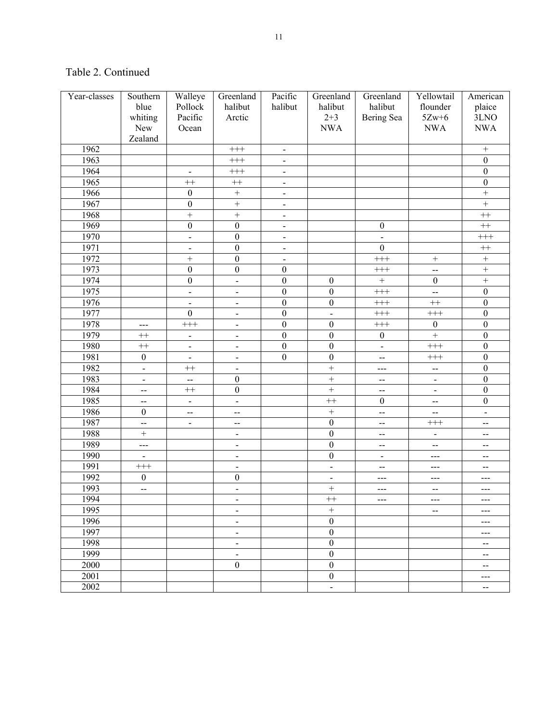| Year-classes | Southern                 | Walleye                      | Greenland                | Pacific                  | Greenland                | Greenland                | Yellowtail               | American                                      |
|--------------|--------------------------|------------------------------|--------------------------|--------------------------|--------------------------|--------------------------|--------------------------|-----------------------------------------------|
|              | blue                     | Pollock                      | halibut                  | halibut                  | halibut                  | halibut                  | flounder                 | plaice                                        |
|              | whiting                  | Pacific                      | Arctic                   |                          | $2 + 3$                  | Bering Sea               | $5Zw+6$                  | 3LNO                                          |
|              | New                      | Ocean                        |                          |                          | <b>NWA</b>               |                          | <b>NWA</b>               | <b>NWA</b>                                    |
|              | Zealand                  |                              |                          |                          |                          |                          |                          |                                               |
| 1962         |                          |                              | $+++$                    | $\blacksquare$           |                          |                          |                          | $\! + \!$                                     |
| 1963         |                          |                              | $+++$                    | $\overline{\phantom{a}}$ |                          |                          |                          | $\boldsymbol{0}$                              |
| 1964         |                          | $\overline{\phantom{a}}$     | $+++$                    | $\overline{\phantom{a}}$ |                          |                          |                          | $\boldsymbol{0}$                              |
| 1965         |                          | $^{++}$                      | $^{++}$                  | $\overline{\phantom{a}}$ |                          |                          |                          | $\boldsymbol{0}$                              |
| 1966         |                          | $\boldsymbol{0}$             | $\ddot{}$                | $\overline{\phantom{a}}$ |                          |                          |                          | $\qquad \qquad +$                             |
| 1967         |                          | $\boldsymbol{0}$             | $\ddot{}$                | $\overline{\phantom{a}}$ |                          |                          |                          | $\ddot{}$                                     |
| 1968         |                          | $\ddot{}$                    | $\ddot{}$                | $\blacksquare$           |                          |                          |                          | $^{++}\,$                                     |
| 1969         |                          | $\boldsymbol{0}$             | $\boldsymbol{0}$         | $\blacksquare$           |                          | $\boldsymbol{0}$         |                          | $^{++}\,$                                     |
| 1970         |                          | $\blacksquare$               | $\boldsymbol{0}$         | $\blacksquare$           |                          | $\overline{a}$           |                          | $^{+++}$                                      |
| 1971         |                          | $\overline{a}$               | $\boldsymbol{0}$         | $\blacksquare$           |                          | $\boldsymbol{0}$         |                          | $^{++}\,$                                     |
| 1972         |                          | $\ddot{}$                    | $\boldsymbol{0}$         | $\overline{\phantom{a}}$ |                          | $+\n + +$                | $\boldsymbol{+}$         | $\ddot{}$                                     |
| 1973         |                          | $\boldsymbol{0}$             | $\boldsymbol{0}$         | $\boldsymbol{0}$         |                          | $+++$                    | $\overline{\phantom{a}}$ | $\overline{+}$                                |
| 1974         |                          | $\boldsymbol{0}$             | $\overline{a}$           | $\boldsymbol{0}$         | $\boldsymbol{0}$         | $\ddot{}$                | $\boldsymbol{0}$         | $\overline{+}$                                |
| 1975         |                          | $\frac{1}{2}$                | $\overline{\phantom{a}}$ | $\boldsymbol{0}$         | $\boldsymbol{0}$         | $++$                     | $\overline{a}$           | $\boldsymbol{0}$                              |
| 1976         |                          | $\blacksquare$               | $\blacksquare$           | $\boldsymbol{0}$         | $\boldsymbol{0}$         | $^{+++}$                 | $^{++}$                  | $\boldsymbol{0}$                              |
| 1977         |                          | $\boldsymbol{0}$             | $\blacksquare$           | $\boldsymbol{0}$         | $\frac{1}{2}$            | $^{+++}$                 | $^{+++}$                 | $\boldsymbol{0}$                              |
| 1978         | ---                      | $+++$                        | $\blacksquare$           | $\boldsymbol{0}$         | $\boldsymbol{0}$         | $^{+++}$                 | $\boldsymbol{0}$         | $\boldsymbol{0}$                              |
| 1979         | $++$                     | $\qquad \qquad \blacksquare$ | $\blacksquare$           | $\boldsymbol{0}$         | $\boldsymbol{0}$         | $\boldsymbol{0}$         | $\overline{+}$           | $\boldsymbol{0}$                              |
| 1980         | $^{++}$                  | $\blacksquare$               | $\blacksquare$           | $\boldsymbol{0}$         | $\boldsymbol{0}$         | $\blacksquare$           | $^{+++}$                 | $\boldsymbol{0}$                              |
| 1981         | $\boldsymbol{0}$         | $\overline{\phantom{a}}$     | $\blacksquare$           | $\boldsymbol{0}$         | $\mathbf{0}$             | $\overline{a}$           | $^{+++}$                 | $\boldsymbol{0}$                              |
| 1982         | $\overline{\phantom{a}}$ | $^{++}$                      | $\overline{\phantom{a}}$ |                          | $\ddot{}$                | $---$                    | $\overline{\phantom{a}}$ | $\boldsymbol{0}$                              |
| 1983         | $\blacksquare$           | $\overline{\phantom{a}}$     | $\boldsymbol{0}$         |                          | $^{+}$                   | $\overline{\phantom{a}}$ | $\overline{\phantom{a}}$ | $\boldsymbol{0}$                              |
| 1984         | $\overline{\phantom{a}}$ | $++$                         | $\boldsymbol{0}$         |                          | $^{+}$                   | $\overline{a}$           | $\overline{\phantom{a}}$ | $\boldsymbol{0}$                              |
| 1985         | $\overline{\phantom{a}}$ | $\blacksquare$               | $\blacksquare$           |                          | $++$                     | $\boldsymbol{0}$         | $\overline{\phantom{m}}$ | $\boldsymbol{0}$                              |
| 1986         | $\boldsymbol{0}$         | $-$                          | $\overline{a}$           |                          | $^{+}$                   | $\overline{a}$           | $-$                      | $\blacksquare$                                |
| 1987         | $\overline{a}$           | $\overline{\phantom{a}}$     | $\sim$                   |                          | $\mathbf{0}$             | $\overline{a}$           | $^{+++}$                 | $\overline{a}$                                |
| 1988         |                          |                              | $\overline{\phantom{a}}$ |                          | $\boldsymbol{0}$         | $\overline{a}$           | $\blacksquare$           | $\overline{a}$                                |
| 1989         | $\frac{1}{2}$            |                              | $\overline{\phantom{a}}$ |                          | $\boldsymbol{0}$         | $-$                      | $\overline{a}$           | $\overline{\phantom{a}}$                      |
| 1990         |                          |                              | $\overline{\phantom{a}}$ |                          | $\boldsymbol{0}$         | $\overline{\phantom{a}}$ | ---                      | --                                            |
| 1991         | $^{+++}$                 |                              | $\overline{\phantom{a}}$ |                          | $\overline{\phantom{m}}$ | $-$                      | $---$                    | $\overline{\phantom{a}}$                      |
| 1992         | $\boldsymbol{0}$         |                              | $\boldsymbol{0}$         |                          | $\overline{\phantom{m}}$ | $---$                    | $---$                    | ---                                           |
| 1993         | $\overline{\phantom{a}}$ |                              | $\blacksquare$           |                          | $^{+}$                   | $--$                     | $\overline{\phantom{m}}$ | $\qquad \qquad -$                             |
| 1994         |                          |                              | $\overline{\phantom{a}}$ |                          | $^{++}$                  | $\qquad \qquad \cdots$   | $\qquad \qquad \cdots$   | $---$                                         |
| 1995         |                          |                              | $\blacksquare$           |                          | $\! + \!\!\!\!$          |                          | $\mathbf{--}$            | $---$                                         |
| 1996         |                          |                              | $\overline{\phantom{a}}$ |                          | $\boldsymbol{0}$         |                          |                          | ---                                           |
| 1997         |                          |                              | $\overline{\phantom{a}}$ |                          | $\boldsymbol{0}$         |                          |                          | ---                                           |
| 1998         |                          |                              | $\blacksquare$           |                          | $\boldsymbol{0}$         |                          |                          | $-\!$ $\!-$                                   |
| 1999         |                          |                              | $\blacksquare$           |                          | $\boldsymbol{0}$         |                          |                          | $\mathbf{u}$                                  |
| 2000         |                          |                              | $\boldsymbol{0}$         |                          | $\boldsymbol{0}$         |                          |                          | $\mathord{\hspace{1pt}\text{--}\hspace{1pt}}$ |
| 2001         |                          |                              |                          |                          | $\boldsymbol{0}$         |                          |                          | $\qquad \qquad - -$                           |
| 2002         |                          |                              |                          |                          | $\blacksquare$           |                          |                          | $\overline{\phantom{a}}$                      |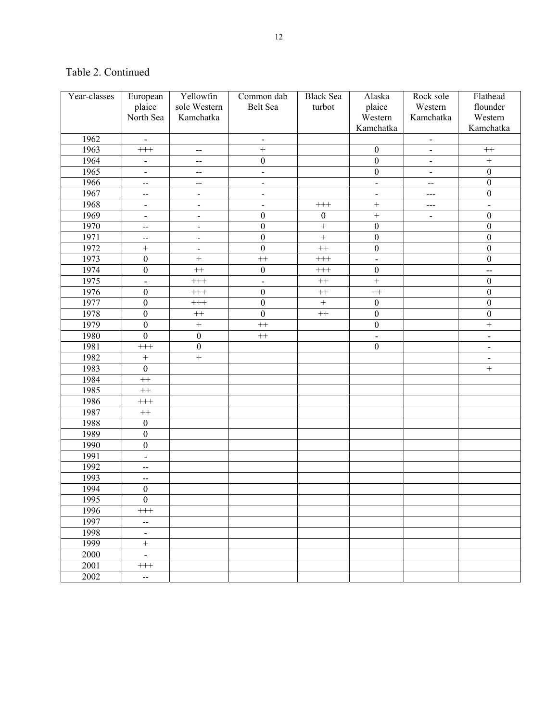| Year-classes | European                 | Yellowfin                   | Common dab               | <b>Black Sea</b>    | Alaska                       | Rock sole                    | Flathead                 |
|--------------|--------------------------|-----------------------------|--------------------------|---------------------|------------------------------|------------------------------|--------------------------|
|              | plaice                   | sole Western                | Belt Sea                 | turbot              | plaice                       | Western                      | flounder                 |
|              | North Sea                | Kamchatka                   |                          |                     | Western                      | Kamchatka                    | Western                  |
|              |                          |                             |                          |                     | Kamchatka                    |                              | Kamchatka                |
| 1962         | $\blacksquare$           |                             | $\overline{\phantom{a}}$ |                     |                              | $\overline{\phantom{0}}$     |                          |
| 1963         | $^{+++}$                 | $\mathcal{L}_{\mathcal{F}}$ | $^{+}$                   |                     | $\boldsymbol{0}$             | $\overline{\phantom{0}}$     | $^{++}$                  |
| 1964         | $\blacksquare$           | $-$                         | $\boldsymbol{0}$         |                     | $\boldsymbol{0}$             | $\overline{\phantom{0}}$     | $\ddot{}$                |
| 1965         | $\blacksquare$           | $\overline{a}$              | $\overline{\phantom{a}}$ |                     | $\boldsymbol{0}$             | $\overline{a}$               | $\boldsymbol{0}$         |
| 1966         | $-$                      | --                          | $\overline{\phantom{m}}$ |                     | $\qquad \qquad \blacksquare$ | $-$                          | $\boldsymbol{0}$         |
| 1967         | $-$                      | $\overline{\phantom{a}}$    | $\overline{\phantom{0}}$ |                     | $\qquad \qquad \blacksquare$ |                              | $\boldsymbol{0}$         |
| 1968         | $\overline{\phantom{a}}$ | $\blacksquare$              | $\blacksquare$           | $^{+++}$            |                              | ---                          | $\overline{a}$           |
| 1969         | $\blacksquare$           | $\blacksquare$              | $\boldsymbol{0}$         | $\boldsymbol{0}$    | $\ddot{}$                    | $\qquad \qquad \blacksquare$ | $\boldsymbol{0}$         |
| 1970         | --                       | $\blacksquare$              | $\boldsymbol{0}$         | $^{+}$              | $\boldsymbol{0}$             |                              | $\boldsymbol{0}$         |
| 1971         | $-$                      | $\blacksquare$              | $\boldsymbol{0}$         | $\qquad \qquad +$   | $\boldsymbol{0}$             |                              | $\boldsymbol{0}$         |
| 1972         | $^{+}$                   | $\blacksquare$              | $\boldsymbol{0}$         | $^{++}$             | $\boldsymbol{0}$             |                              | $\boldsymbol{0}$         |
| 1973         | $\boldsymbol{0}$         | $\ddot{}$                   | $^{++}$                  | $^{+++}$            | $\overline{a}$               |                              | $\boldsymbol{0}$         |
| 1974         | $\boldsymbol{0}$         | $^{++}$                     | $\boldsymbol{0}$         | $^{+++}$            | $\boldsymbol{0}$             |                              | --                       |
| 1975         | $\overline{\phantom{a}}$ | $^{+++}$                    | $\overline{a}$           | $^{++}\,$           | $\overline{+}$               |                              | $\boldsymbol{0}$         |
| 1976         | $\boldsymbol{0}$         | $^{+++}$                    | $\boldsymbol{0}$         | $\qquad \qquad + +$ | $^{++}$                      |                              | $\boldsymbol{0}$         |
| 1977         | $\boldsymbol{0}$         | $^{+++}$                    | $\boldsymbol{0}$         | $\boldsymbol{+}$    | $\boldsymbol{0}$             |                              | $\boldsymbol{0}$         |
| 1978         | $\boldsymbol{0}$         | $^{++}$                     | $\boldsymbol{0}$         | $++$                | $\boldsymbol{0}$             |                              | $\boldsymbol{0}$         |
| 1979         | $\boldsymbol{0}$         | $\boldsymbol{+}$            | $^{++}$                  |                     | $\boldsymbol{0}$             |                              | $^{+}$                   |
| 1980         | $\boldsymbol{0}$         | $\boldsymbol{0}$            | $^{++}$                  |                     | $\overline{a}$               |                              | $\frac{1}{2}$            |
| 1981         | $^{+++}$                 | $\boldsymbol{0}$            |                          |                     | $\mathbf{0}$                 |                              | $\overline{\phantom{0}}$ |
| 1982         | $+$                      | $\ddot{}$                   |                          |                     |                              |                              | $\overline{\phantom{0}}$ |
| 1983         | $\boldsymbol{0}$         |                             |                          |                     |                              |                              | $^{+}$                   |
| 1984         | $^{++}$                  |                             |                          |                     |                              |                              |                          |
| 1985         | $^{++}$                  |                             |                          |                     |                              |                              |                          |
| 1986         | $^{+++}$                 |                             |                          |                     |                              |                              |                          |
| 1987         | $++$                     |                             |                          |                     |                              |                              |                          |
| 1988         | $\boldsymbol{0}$         |                             |                          |                     |                              |                              |                          |
| 1989         | $\boldsymbol{0}$         |                             |                          |                     |                              |                              |                          |
| 1990         | $\boldsymbol{0}$         |                             |                          |                     |                              |                              |                          |
| 1991         | $\overline{\phantom{a}}$ |                             |                          |                     |                              |                              |                          |
| 1992         | $\overline{\phantom{a}}$ |                             |                          |                     |                              |                              |                          |
| 1993         | $-$                      |                             |                          |                     |                              |                              |                          |
| 1994         | $\boldsymbol{0}$         |                             |                          |                     |                              |                              |                          |
| 1995         | $\overline{0}$           |                             |                          |                     |                              |                              |                          |
| 1996         | $^{+++}$                 |                             |                          |                     |                              |                              |                          |
| 1997         | $-$                      |                             |                          |                     |                              |                              |                          |
| 1998         | $\blacksquare$           |                             |                          |                     |                              |                              |                          |
| 1999         | $^{+}$                   |                             |                          |                     |                              |                              |                          |
| 2000         | $\blacksquare$           |                             |                          |                     |                              |                              |                          |
| 2001         | $^{+++}$                 |                             |                          |                     |                              |                              |                          |
| 2002         | $-$                      |                             |                          |                     |                              |                              |                          |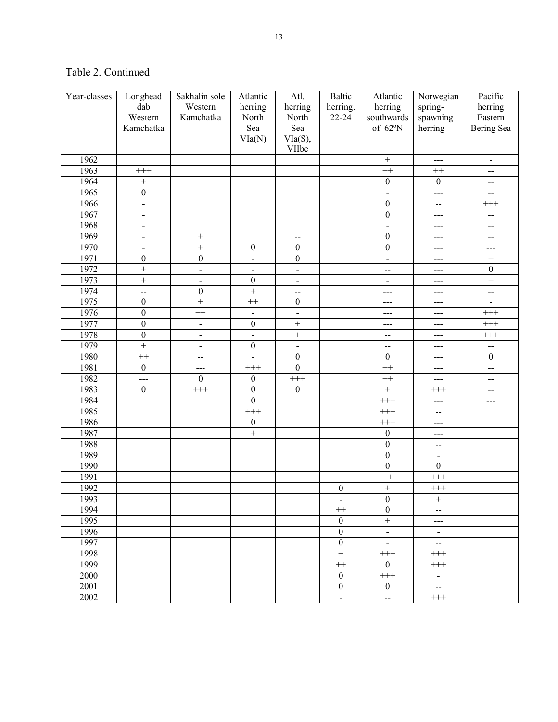| Year-classes | Longhead                 | Sakhalin sole            | Atlantic                     | Atl.                     | <b>Baltic</b>     | Atlantic                     | Norwegian                | Pacific                  |
|--------------|--------------------------|--------------------------|------------------------------|--------------------------|-------------------|------------------------------|--------------------------|--------------------------|
|              | dab                      | Western                  | herring                      | herring                  | herring.          | herring                      | spring-                  | herring                  |
|              | Western                  | Kamchatka                | North                        | North                    | 22-24             | southwards                   | spawning                 | Eastern                  |
|              | Kamchatka                |                          | Sea                          | Sea                      |                   | of 62°N                      | herring                  | Bering Sea               |
|              |                          |                          | VIa(N)                       | V1a(S),                  |                   |                              |                          |                          |
|              |                          |                          |                              | VIIbc                    |                   |                              |                          |                          |
| 1962         |                          |                          |                              |                          |                   | $\qquad \qquad +$            | $---$                    | $\blacksquare$           |
| 1963         | $^{+++}$                 |                          |                              |                          |                   | $^{++}$                      | $^{++}$                  | $-$                      |
| 1964         | $\ddot{}$                |                          |                              |                          |                   | $\boldsymbol{0}$             | $\boldsymbol{0}$         | $-$                      |
| 1965         | $\boldsymbol{0}$         |                          |                              |                          |                   | $\overline{a}$               | $---$                    | --                       |
| 1966         | $\overline{a}$           |                          |                              |                          |                   | $\boldsymbol{0}$             | $\overline{a}$           | $^{+++}$                 |
| 1967         | $\overline{\phantom{0}}$ |                          |                              |                          |                   | $\boldsymbol{0}$             | $---$                    | $\overline{\phantom{m}}$ |
| 1968         | $\overline{\phantom{0}}$ |                          |                              |                          |                   | $\overline{a}$               | ---                      | $-$                      |
| 1969         | $\overline{\phantom{0}}$ | $\ddot{}$                |                              | $\overline{\phantom{a}}$ |                   | $\boldsymbol{0}$             | $---$                    | $\mathbf{--}$            |
| 1970         | $\overline{\phantom{0}}$ | $\ddot{}$                | $\boldsymbol{0}$             | $\boldsymbol{0}$         |                   | $\boldsymbol{0}$             | ---                      | ---                      |
| 1971         | $\boldsymbol{0}$         | $\boldsymbol{0}$         | $\overline{a}$               | $\boldsymbol{0}$         |                   | $\overline{\phantom{a}}$     | $---$                    | $\boldsymbol{+}$         |
| 1972         | $^{+}$                   | $\frac{1}{2}$            | $\qquad \qquad \blacksquare$ | $\blacksquare$           |                   | $\overline{a}$               | $---$                    | $\boldsymbol{0}$         |
| 1973         | $^{+}$                   | $\blacksquare$           | $\boldsymbol{0}$             | $\blacksquare$           |                   | $\qquad \qquad \blacksquare$ | $---$                    | $\boldsymbol{+}$         |
| 1974         | $\overline{a}$           | $\boldsymbol{0}$         | $^{+}$                       | $\overline{\phantom{a}}$ |                   | ---                          | ---                      | $\overline{\phantom{a}}$ |
| 1975         | $\boldsymbol{0}$         | $\ddot{}$                | $^{++}$                      | $\boldsymbol{0}$         |                   | ---                          | $---$                    |                          |
| 1976         | $\boldsymbol{0}$         | $^{++}$                  | $\frac{1}{2}$                | $\blacksquare$           |                   | $---$                        | $---$                    | $^{+++}$                 |
| 1977         | $\boldsymbol{0}$         | $\blacksquare$           | $\boldsymbol{0}$             | $\qquad \qquad +$        |                   | $---$                        | $---$                    | $\!+\!+\!$               |
| 1978         | $\boldsymbol{0}$         | $\blacksquare$           | $\overline{a}$               | $^{+}$                   |                   | $\overline{\phantom{a}}$     | $---$                    | $^{+++}$                 |
| 1979         | $\ddot{}$                | $\overline{\phantom{0}}$ | $\boldsymbol{0}$             | $\frac{1}{2}$            |                   | $\overline{\phantom{a}}$     | $---$                    | --                       |
| 1980         | $^{++}$                  | $\overline{\phantom{m}}$ | $\overline{a}$               | $\boldsymbol{0}$         |                   | $\boldsymbol{0}$             | $---$                    | $\boldsymbol{0}$         |
| 1981         | $\mathbf{0}$             | $---$                    | $^{+++}$                     | $\boldsymbol{0}$         |                   | $^{++}$                      | $---$                    | $\overline{a}$           |
| 1982         | ---                      | $\boldsymbol{0}$         | $\boldsymbol{0}$             | $\!+\!+\!$               |                   | $^{++}$                      | $---$                    | $\overline{\phantom{a}}$ |
| 1983         | $\mathbf{0}$             | $^{+++}$                 | $\mathbf{0}$                 | $\boldsymbol{0}$         |                   | $\qquad \qquad +$            | $^{+++}$                 | $-$                      |
| 1984         |                          |                          | $\mathbf{0}$                 |                          |                   | $^{+++}$                     | $--$                     | ---                      |
| 1985         |                          |                          | $^{+++}$                     |                          |                   | $^{+++}$                     | --                       |                          |
| 1986         |                          |                          | $\boldsymbol{0}$             |                          |                   | $^{+++}$                     | ---                      |                          |
| 1987         |                          |                          | $\ddot{}$                    |                          |                   | $\boldsymbol{0}$             | $---$                    |                          |
| 1988         |                          |                          |                              |                          |                   | $\boldsymbol{0}$             | --                       |                          |
| 1989         |                          |                          |                              |                          |                   | $\boldsymbol{0}$             | $\blacksquare$           |                          |
| 1990         |                          |                          |                              |                          |                   | $\boldsymbol{0}$             | $\boldsymbol{0}$         |                          |
| 1991         |                          |                          |                              |                          | $\boldsymbol{+}$  | $^{++}$                      | $++$                     |                          |
| 1992         |                          |                          |                              |                          | $\boldsymbol{0}$  | $\qquad \qquad +$            | $\!+\!+\!$               |                          |
| 1993         |                          |                          |                              |                          |                   | $\boldsymbol{0}$             | $+$                      |                          |
| 1994         |                          |                          |                              |                          | $^{++}$           | $\mathbf{0}$                 | $-$                      |                          |
| 1995         |                          |                          |                              |                          | $\boldsymbol{0}$  | $\boldsymbol{+}$             | $---$                    |                          |
| 1996         |                          |                          |                              |                          | $\boldsymbol{0}$  | $\Box$                       | $\blacksquare$           |                          |
| 1997         |                          |                          |                              |                          | $\boldsymbol{0}$  | $\Box$                       | $\bar{\phantom{a}}$      |                          |
| 1998         |                          |                          |                              |                          | $\qquad \qquad +$ | $^{+++}$                     | $^{+++}$                 |                          |
| 1999         |                          |                          |                              |                          | $++$              | $\boldsymbol{0}$             | $^{+++}$                 |                          |
| 2000         |                          |                          |                              |                          | $\boldsymbol{0}$  | $^{+++}$                     | $\blacksquare$           |                          |
| 2001         |                          |                          |                              |                          | $\boldsymbol{0}$  | $\overline{0}$               | $\overline{\phantom{a}}$ |                          |
| 2002         |                          |                          |                              |                          | $\mathbb{L}$      | $\overline{\phantom{a}}$     | $^{+++}$                 |                          |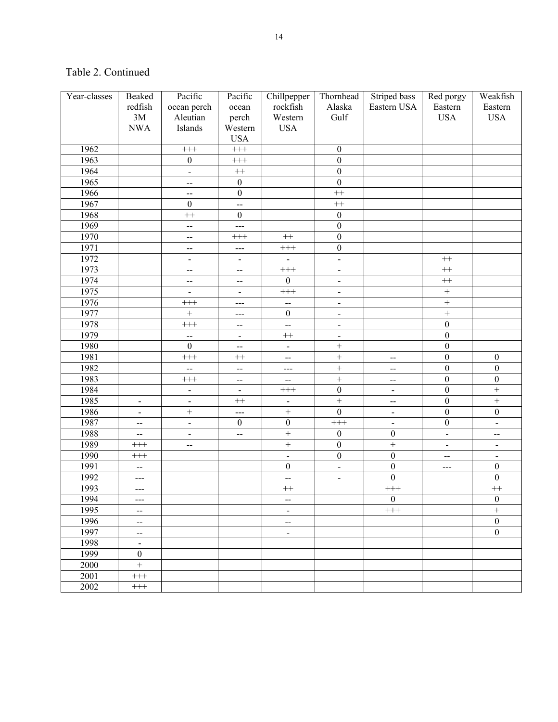| Year-classes | Beaked                                        | Pacific                  | Pacific                      | Chillpepper                  | Thornhead                    | Striped bass                 | Red porgy                | Weakfish          |
|--------------|-----------------------------------------------|--------------------------|------------------------------|------------------------------|------------------------------|------------------------------|--------------------------|-------------------|
|              | redfish                                       | ocean perch              | ocean                        | rockfish                     | Alaska                       | Eastern USA                  | Eastern                  | Eastern           |
|              | 3M                                            | Aleutian                 | perch                        | Western                      | Gulf                         |                              | <b>USA</b>               | <b>USA</b>        |
|              | <b>NWA</b>                                    | Islands                  | Western                      | <b>USA</b>                   |                              |                              |                          |                   |
|              |                                               |                          | <b>USA</b>                   |                              |                              |                              |                          |                   |
| 1962         |                                               | $+++$                    | $^{+++}$                     |                              | $\boldsymbol{0}$             |                              |                          |                   |
| 1963         |                                               | $\boldsymbol{0}$         | $^{+++}$                     |                              | $\overline{0}$               |                              |                          |                   |
| 1964         |                                               | $\blacksquare$           | $^{++}\,$                    |                              | $\overline{0}$               |                              |                          |                   |
| 1965         |                                               | --                       | $\boldsymbol{0}$             |                              | $\overline{0}$               |                              |                          |                   |
| 1966         |                                               | $\overline{a}$           | $\boldsymbol{0}$             |                              | $^{++}$                      |                              |                          |                   |
| 1967         |                                               | $\boldsymbol{0}$         | $\overline{\phantom{a}}$     |                              | $^{++}$                      |                              |                          |                   |
| 1968         |                                               | $+$                      | $\boldsymbol{0}$             |                              | $\mathbf{0}$                 |                              |                          |                   |
| 1969         |                                               | Ц.                       | $---$                        |                              | $\overline{0}$               |                              |                          |                   |
| 1970         |                                               | $\overline{\phantom{a}}$ | $^{+++}$                     | $^{++}$                      | $\overline{0}$               |                              |                          |                   |
| 1971         |                                               | $-$                      | $---$                        | $^{+++}$                     | $\overline{0}$               |                              |                          |                   |
| 1972         |                                               | $\frac{1}{2}$            | $\blacksquare$               | $\overline{\phantom{a}}$     | $\overline{a}$               |                              | $^{++}\,$                |                   |
| 1973         |                                               | $\overline{\phantom{a}}$ | $-$                          | $+++$                        | $\overline{\phantom{0}}$     |                              | $^{++}\,$                |                   |
| 1974         |                                               | $-$                      | $\overline{\phantom{a}}$     | $\mathbf{0}$                 | $\overline{\phantom{a}}$     |                              | $^{++}\,$                |                   |
| 1975         |                                               | $\overline{a}$           | $\overline{\phantom{a}}$     | $+++$                        | $\frac{1}{2}$                |                              | $\boldsymbol{+}$         |                   |
| 1976         |                                               | $+++$                    | $---$                        | ш,                           | $\overline{\phantom{a}}$     |                              | $\boldsymbol{+}$         |                   |
| 1977         |                                               | $\overline{+}$           | $--$                         | $\boldsymbol{0}$             | $\overline{\phantom{a}}$     |                              | $\! + \!$                |                   |
| 1978         |                                               | $^{+++}$                 | --                           | ÷.                           | $\frac{1}{2}$                |                              | $\boldsymbol{0}$         |                   |
| 1979         |                                               | $\overline{\phantom{a}}$ | $\qquad \qquad \blacksquare$ | $^{++}$                      | $\qquad \qquad \blacksquare$ |                              | $\overline{0}$           |                   |
| 1980         |                                               | $\mathbf{0}$             | --                           | $\blacksquare$               | $\ddot{}$                    |                              | $\overline{0}$           |                   |
| 1981         |                                               | $^{+++}$                 | $^{++}$                      | $\overline{\phantom{a}}$     | $\overline{+}$               | $\overline{a}$               | $\boldsymbol{0}$         | $\boldsymbol{0}$  |
| 1982         |                                               | --                       | $\overline{a}$               | $---$                        | $\overline{+}$               | $\overline{\phantom{m}}$     | $\overline{0}$           | $\overline{0}$    |
| 1983         |                                               | $^{+++}$                 | --                           | --                           | $\overline{+}$               | $\overline{\phantom{a}}$     | $\overline{0}$           | $\overline{0}$    |
| 1984         |                                               | $\overline{\phantom{a}}$ | $\overline{\phantom{a}}$     | $\!+\!+\!$                   | $\boldsymbol{0}$             |                              | $\overline{0}$           | $\overline{+}$    |
| 1985         | $\overline{\phantom{0}}$                      | $\blacksquare$           | $^{++}$                      | $\qquad \qquad \blacksquare$ | $\overline{+}$               | --                           | $\overline{0}$           | $\overline{+}$    |
| 1986         | $\qquad \qquad \blacksquare$                  | $\overline{+}$           | ---                          | $\overline{+}$               | $\overline{0}$               | $\qquad \qquad \blacksquare$ | $\overline{0}$           | $\boldsymbol{0}$  |
| 1987         | $-$                                           | $\frac{1}{2}$            | $\boldsymbol{0}$             | $\boldsymbol{0}$             | $\scriptstyle +++{}$         |                              | $\boldsymbol{0}$         | $\blacksquare$    |
| 1988         | $\overline{\phantom{a}}$                      | $\blacksquare$           | $\overline{a}$               | $\overline{+}$               | $\boldsymbol{0}$             | $\boldsymbol{0}$             | $\blacksquare$           | --                |
| 1989         | $^{+++}$                                      | $-$                      |                              | $\overline{+}$               | $\overline{0}$               | $\overline{+}$               | $\blacksquare$           | $\blacksquare$    |
| 1990         | $^{+++}$                                      |                          |                              | $\blacksquare$               | $\overline{0}$               | $\boldsymbol{0}$             | $\overline{\phantom{a}}$ | $\blacksquare$    |
| 1991         | --                                            |                          |                              | $\boldsymbol{0}$             | $\blacksquare$               | $\boldsymbol{0}$             | ---                      | $\boldsymbol{0}$  |
| 1992         | ---                                           |                          |                              | $\overline{a}$               | $\overline{\phantom{a}}$     | $\boldsymbol{0}$             |                          | $\boldsymbol{0}$  |
| 1993         | ---                                           |                          |                              | $^{++}$                      |                              | $^{+++}$                     |                          | $^{++}$           |
| 1994         |                                               |                          |                              | --                           |                              | $\mathbf{0}$                 |                          | $\overline{0}$    |
| 1995         | $\mathord{\hspace{1pt}\text{--}\hspace{1pt}}$ |                          |                              | $\blacksquare$               |                              | $^{+++}$                     |                          | $\qquad \qquad +$ |
| 1996         | $\overline{\phantom{a}}$                      |                          |                              | $\overline{\phantom{a}}$     |                              |                              |                          | $\boldsymbol{0}$  |
| 1997         | $\overline{\phantom{a}}$                      |                          |                              | $\blacksquare$               |                              |                              |                          | $\mathbf{0}$      |
| 1998         | $\blacksquare$                                |                          |                              |                              |                              |                              |                          |                   |
| 1999         | $\boldsymbol{0}$                              |                          |                              |                              |                              |                              |                          |                   |
| 2000         | $\overline{+}$                                |                          |                              |                              |                              |                              |                          |                   |
| 2001         | $^{+++}$                                      |                          |                              |                              |                              |                              |                          |                   |
| 2002         | $^{+++}$                                      |                          |                              |                              |                              |                              |                          |                   |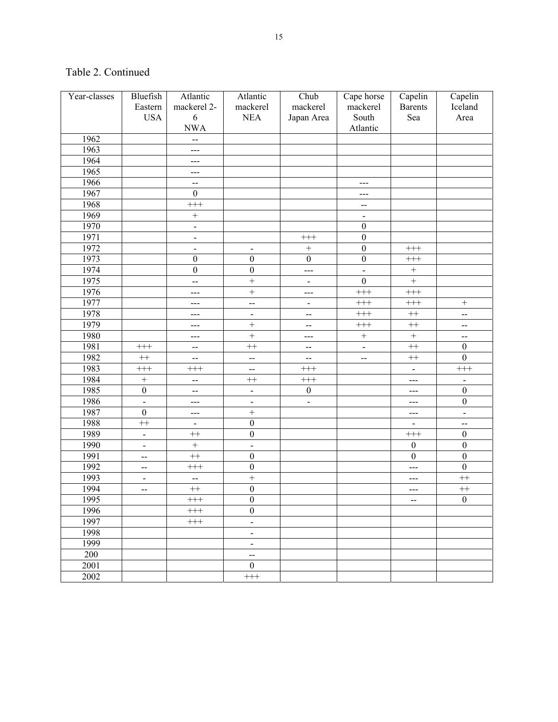| Year-classes | Bluefish                     | Atlantic                 | Atlantic                     | Chub                        | Cape horse                                    | Capelin           | Capelin          |
|--------------|------------------------------|--------------------------|------------------------------|-----------------------------|-----------------------------------------------|-------------------|------------------|
|              | Eastern                      | mackerel 2-              | mackerel                     | mackerel                    | mackerel                                      | <b>Barents</b>    | Iceland          |
|              | <b>USA</b>                   | $\sqrt{6}$               | <b>NEA</b>                   | Japan Area                  | South                                         | Sea               | Area             |
|              |                              | <b>NWA</b>               |                              |                             | Atlantic                                      |                   |                  |
| 1962         |                              | $\overline{a}$           |                              |                             |                                               |                   |                  |
| 1963         |                              | ---                      |                              |                             |                                               |                   |                  |
| 1964         |                              | ---                      |                              |                             |                                               |                   |                  |
| 1965         |                              | ---                      |                              |                             |                                               |                   |                  |
| 1966         |                              | $\overline{a}$           |                              |                             | $\frac{1}{2}$                                 |                   |                  |
| 1967         |                              | $\boldsymbol{0}$         |                              |                             | $\frac{1}{2}$                                 |                   |                  |
| 1968         |                              | $^{+++}$                 |                              |                             | $\overline{\phantom{m}}$                      |                   |                  |
| 1969         |                              | $^{+}$                   |                              |                             | $\overline{\phantom{a}}$                      |                   |                  |
| 1970         |                              | $\blacksquare$           |                              |                             | $\boldsymbol{0}$                              |                   |                  |
| 1971         |                              | $\blacksquare$           |                              | $++$                        | $\boldsymbol{0}$                              |                   |                  |
| 1972         |                              | $\overline{\phantom{a}}$ | $\qquad \qquad \blacksquare$ | $\boldsymbol{+}$            | $\boldsymbol{0}$                              | $^{+++}$          |                  |
| 1973         |                              | $\boldsymbol{0}$         | $\boldsymbol{0}$             | $\boldsymbol{0}$            | $\boldsymbol{0}$                              | $^{+++}$          |                  |
| 1974         |                              | $\boldsymbol{0}$         | $\boldsymbol{0}$             | $---$                       | $\blacksquare$                                | $\qquad \qquad +$ |                  |
| 1975         |                              | $\overline{a}$           | $\overline{+}$               | $\blacksquare$              | $\boldsymbol{0}$                              | $\overline{+}$    |                  |
| 1976         |                              | ---                      | $\ddot{}$                    | ---                         | $^{+++}$                                      | $^{+++}$          |                  |
| 1977         |                              | ---                      | $\overline{\phantom{a}}$     | $\blacksquare$              | $+++$                                         | $^{+++}$          | $+$              |
| 1978         |                              | ---                      | $\blacksquare$               | $\mathcal{L}_{\mathcal{L}}$ | $+++$                                         | $^{++}\,$         | --               |
| 1979         |                              | ---                      | $\ddot{}$                    | $\mathcal{L}_{\mathcal{L}}$ | $+++$                                         | $^{++}$           | --               |
| 1980         |                              | ---                      | $\overline{+}$               | $\qquad \qquad - -$         | $\ddot{}$                                     | $\ddot{}$         | --               |
| 1981         | $^{+++}$                     | --                       | $\qquad \qquad + +$          | $\mathbf{--}$               | $\blacksquare$                                | $+ +$             | $\boldsymbol{0}$ |
| 1982         | $^{++}$                      | $\overline{a}$           | $\overline{a}$               | $\overline{\phantom{a}}$    | $\mathord{\hspace{1pt}\text{--}\hspace{1pt}}$ | $^{++}\,$         | $\boldsymbol{0}$ |
| 1983         | $^{+++}$                     | $^{+++}$                 | $\overline{\phantom{a}}$     | $^{+++}$                    |                                               | $\blacksquare$    | $^{+++}$         |
| 1984         | $\qquad \qquad +$            | --                       | $^{++}$                      | $^{+++}$                    |                                               | ---               |                  |
| 1985         | $\boldsymbol{0}$             | --                       | $\frac{1}{2}$                | $\boldsymbol{0}$            |                                               | ---               | $\boldsymbol{0}$ |
| 1986         | $\overline{\phantom{a}}$     | ---                      | $\overline{\phantom{a}}$     | $\blacksquare$              |                                               | ---               | $\boldsymbol{0}$ |
| 1987         | $\boldsymbol{0}$             | ---                      | $\ddot{}$                    |                             |                                               | ---               | $\blacksquare$   |
| 1988         | $^{++}$                      | $\blacksquare$           | $\boldsymbol{0}$             |                             |                                               |                   | --               |
| 1989         | $\blacksquare$               | $^{++}$                  | $\boldsymbol{0}$             |                             |                                               | $++$              | $\boldsymbol{0}$ |
| 1990         | $\qquad \qquad \blacksquare$ | $\ddot{}$                | $\blacksquare$               |                             |                                               | $\boldsymbol{0}$  | $\boldsymbol{0}$ |
| 1991         | $\mathbf{--}$                | $+$                      | $\boldsymbol{0}$             |                             |                                               | $\boldsymbol{0}$  | $\boldsymbol{0}$ |
| 1992         | $\mathbf{--}$                | $+++$                    | $\boldsymbol{0}$             |                             |                                               | ---               | $\boldsymbol{0}$ |
| 1993         | $\overline{\phantom{a}}$     | $\overline{a}$           | $\ddot{}$                    |                             |                                               | ---               | $^{++}$          |
| 1994         | $\overline{\phantom{m}}$     | $\qquad \qquad +$        | $\boldsymbol{0}$             |                             |                                               | ---               | $^{++}\,$        |
| 1995         |                              | $^{+++}$                 | $\overline{0}$               |                             |                                               | $- -$             | $\boldsymbol{0}$ |
| 1996         |                              | $++++$                   | $\boldsymbol{0}$             |                             |                                               |                   |                  |
| 1997         |                              | $\!+\!+\!$               | $\blacksquare$               |                             |                                               |                   |                  |
| 1998         |                              |                          | $\overline{\phantom{0}}$     |                             |                                               |                   |                  |
| 1999         |                              |                          | $\blacksquare$               |                             |                                               |                   |                  |
| 200          |                              |                          | $\overline{\phantom{m}}$     |                             |                                               |                   |                  |
| 2001         |                              |                          | $\boldsymbol{0}$             |                             |                                               |                   |                  |
| 2002         |                              |                          | $\!+\!+\!$                   |                             |                                               |                   |                  |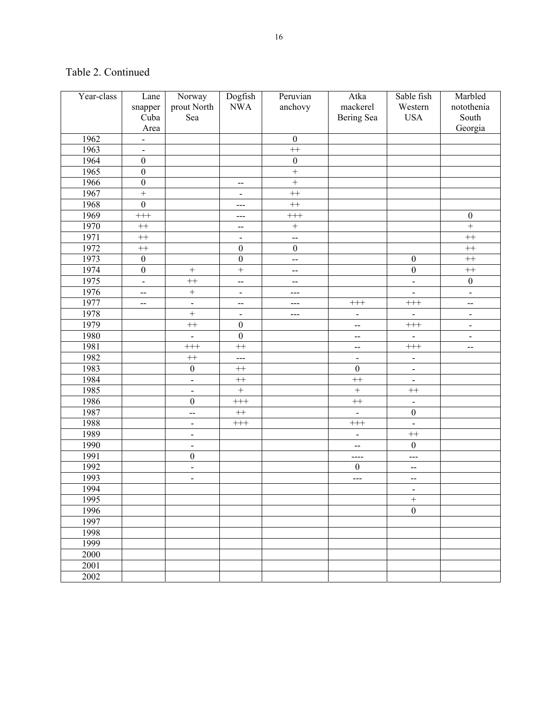| Year-class | Lane                         | Norway                   | Dogfish                  | Peruvian                 | Atka                     | Sable fish               | Marbled                      |
|------------|------------------------------|--------------------------|--------------------------|--------------------------|--------------------------|--------------------------|------------------------------|
|            | snapper                      | prout North              | <b>NWA</b>               | anchovy                  | mackerel                 | Western                  | notothenia                   |
|            | Cuba                         | Sea                      |                          |                          | Bering Sea               | <b>USA</b>               | South                        |
|            | Area                         |                          |                          |                          |                          |                          | Georgia                      |
| 1962       | $\qquad \qquad \blacksquare$ |                          |                          | $\boldsymbol{0}$         |                          |                          |                              |
| 1963       | $\blacksquare$               |                          |                          | $+$                      |                          |                          |                              |
| 1964       | $\boldsymbol{0}$             |                          |                          | $\boldsymbol{0}$         |                          |                          |                              |
| 1965       | $\boldsymbol{0}$             |                          |                          | $\overline{+}$           |                          |                          |                              |
| 1966       | $\overline{0}$               |                          | $\overline{\phantom{a}}$ | $\overline{+}$           |                          |                          |                              |
| 1967       | $\overline{+}$               |                          | $\overline{a}$           | $^{++}$                  |                          |                          |                              |
| 1968       | $\overline{0}$               |                          | ---                      | $^{++}\,$                |                          |                          |                              |
| 1969       | $^{+++}$                     |                          | ---                      | $^{+++}$                 |                          |                          | $\boldsymbol{0}$             |
| 1970       | $^{++}$                      |                          | $-$                      | $\! + \!$                |                          |                          | $\overline{+}$               |
| 1971       | $^{++}$                      |                          | $\blacksquare$           | $\overline{a}$           |                          |                          | $^{++}$                      |
| 1972       | $^{++}$                      |                          | $\boldsymbol{0}$         | $\boldsymbol{0}$         |                          |                          | $+$                          |
| 1973       | $\boldsymbol{0}$             |                          | $\boldsymbol{0}$         | --                       |                          | $\boldsymbol{0}$         | $+$                          |
| 1974       | $\boldsymbol{0}$             | $\! + \!$                | $\ddot{}$                | $\overline{\phantom{a}}$ |                          | $\boldsymbol{0}$         | $+$                          |
| 1975       | $\blacksquare$               | $^{++}$                  | $\overline{a}$           | $-$                      |                          | $\blacksquare$           | $\boldsymbol{0}$             |
| 1976       | $\overline{\phantom{a}}$     | $\ddot{}$                | $\overline{a}$           | $---$                    |                          | $\overline{a}$           | $\blacksquare$               |
| 1977       | $-$                          | $\frac{1}{2}$            | $\equiv$                 | $---$                    | $^{+++}$                 | $+++$                    | --                           |
| 1978       |                              | $^{+}$                   | $\overline{a}$           | ---                      | $\overline{\phantom{a}}$ |                          | $\overline{\phantom{0}}$     |
| 1979       |                              | $^{++}$                  | $\boldsymbol{0}$         |                          | $\overline{a}$           | $^{+++}$                 | $\qquad \qquad \blacksquare$ |
| 1980       |                              | $\overline{\phantom{a}}$ | $\overline{0}$           |                          | $\overline{\phantom{a}}$ |                          | $\blacksquare$               |
| 1981       |                              | $^{+++}$                 | $^{++}$                  |                          | $\overline{\phantom{a}}$ | $+++$                    | $\overline{\phantom{a}}$     |
| 1982       |                              | $^{++}$                  | $---$                    |                          | $\overline{\phantom{a}}$ | $\blacksquare$           |                              |
| 1983       |                              | $\boldsymbol{0}$         | $^{++}\,$                |                          | $\boldsymbol{0}$         | $\overline{\phantom{a}}$ |                              |
| 1984       |                              | $\blacksquare$           | $^{++}$                  |                          | $+$                      | $\overline{\phantom{a}}$ |                              |
| 1985       |                              | $\overline{\phantom{a}}$ | $\qquad \qquad +$        |                          | $\ddot{}$                | $^{++}$                  |                              |
| 1986       |                              | $\boldsymbol{0}$         | $^{+++}$                 |                          | $^{++}$                  | $\overline{a}$           |                              |
| 1987       |                              | $\overline{\phantom{a}}$ | $^{++}\,$                |                          | $\blacksquare$           | $\boldsymbol{0}$         |                              |
| 1988       |                              | $\frac{1}{2}$            | $^{+++}$                 |                          | $^{+++}$                 | $\blacksquare$           |                              |
| 1989       |                              | $\overline{\phantom{0}}$ |                          |                          | $\blacksquare$           | $^{++}$                  |                              |
| 1990       |                              | $\overline{\phantom{0}}$ |                          |                          | $-$                      | $\boldsymbol{0}$         |                              |
| 1991       |                              | $\boldsymbol{0}$         |                          |                          | $\frac{1}{2}$            | $\frac{1}{2}$            |                              |
| 1992       |                              | $\overline{\phantom{0}}$ |                          |                          | $\boldsymbol{0}$         | $-$                      |                              |
| 1993       |                              | $\overline{\phantom{a}}$ |                          |                          | ---                      | $\overline{\phantom{a}}$ |                              |
| 1994       |                              |                          |                          |                          |                          | $\overline{a}$           |                              |
| 1995       |                              |                          |                          |                          |                          | $^+$                     |                              |
| 1996       |                              |                          |                          |                          |                          | $\boldsymbol{0}$         |                              |
| 1997       |                              |                          |                          |                          |                          |                          |                              |
| 1998       |                              |                          |                          |                          |                          |                          |                              |
| 1999       |                              |                          |                          |                          |                          |                          |                              |
| 2000       |                              |                          |                          |                          |                          |                          |                              |
| 2001       |                              |                          |                          |                          |                          |                          |                              |
| 2002       |                              |                          |                          |                          |                          |                          |                              |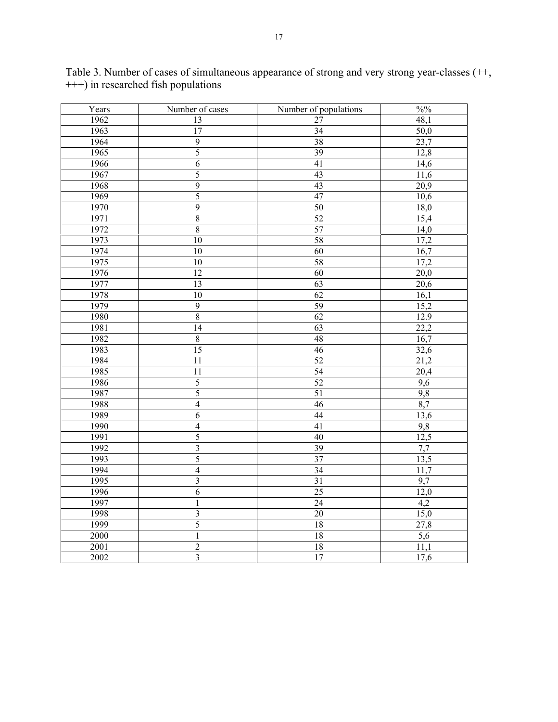| Years | Number of cases         | Number of populations | $\frac{0}{0}$ %  |
|-------|-------------------------|-----------------------|------------------|
| 1962  | 13                      | 27                    | 48,1             |
| 1963  | $\overline{17}$         | $\overline{34}$       | $\frac{1}{50,0}$ |
| 1964  | $\overline{9}$          | 38                    | 23,7             |
| 1965  | $\overline{5}$          | $\overline{39}$       | 12,8             |
| 1966  | $\overline{6}$          | 41                    | 14,6             |
| 1967  | 5                       | $\overline{43}$       | 11,6             |
| 1968  | $\overline{9}$          | 43                    | 20,9             |
| 1969  | $\overline{5}$          | 47                    | 10,6             |
| 1970  | $\overline{9}$          | 50                    | 18,0             |
| 1971  | $\overline{8}$          | 52                    | 15,4             |
| 1972  | $\sqrt{8}$              | 57                    | 14,0             |
| 1973  | 10                      | 58                    | 17,2             |
| 1974  | 10                      | $\overline{60}$       | 16,7             |
| 1975  | $\overline{10}$         | $\overline{58}$       | 17,2             |
| 1976  | 12                      | $\overline{60}$       | 20,0             |
| 1977  | 13                      | 63                    | 20,6             |
| 1978  | 10                      | 62                    | 16,1             |
| 1979  | $\overline{9}$          | $\overline{59}$       | 15,2             |
| 1980  | $\overline{8}$          | 62                    | 12.9             |
| 1981  | 14                      | $\overline{63}$       | 22,2             |
| 1982  | $\overline{8}$          | 48                    | 16,7             |
| 1983  | $\overline{15}$         | 46                    | 32,6             |
| 1984  | $\overline{11}$         | $\overline{52}$       | 21,2             |
| 1985  | 11                      | 54                    | 20,4             |
| 1986  | $\overline{5}$          | 52                    | 9,6              |
| 1987  | $\overline{5}$          | 51                    | 9,8              |
| 1988  | $\overline{4}$          | 46                    | 8,7              |
| 1989  | $\overline{6}$          | 44                    | 13,6             |
| 1990  | $\overline{4}$          | 41                    | 9,8              |
| 1991  | 5                       | $\overline{40}$       | 12,5             |
| 1992  | $\overline{\mathbf{3}}$ | 39                    | 7,7              |
| 1993  | 5                       | $\overline{37}$       | 13,5             |
| 1994  | $\overline{4}$          | $\overline{34}$       | 11,7             |
| 1995  | $\overline{3}$          | 31                    | 9,7              |
| 1996  | 6                       | 25                    | 12,0             |
| 1997  | $\mathbf{1}$            | 24                    | 4,2              |
| 1998  | $\overline{3}$          | $\overline{20}$       | 15,0             |
| 1999  | $\overline{5}$          | 18                    | 27,8             |
| 2000  | $\mathbf{1}$            | $18\,$                | $\overline{5,6}$ |
| 2001  | $\overline{2}$          | $18\,$                | 11,1             |
| 2002  | $\overline{3}$          | 17                    | 17,6             |

Table 3. Number of cases of simultaneous appearance of strong and very strong year-classes (++, +++) in researched fish populations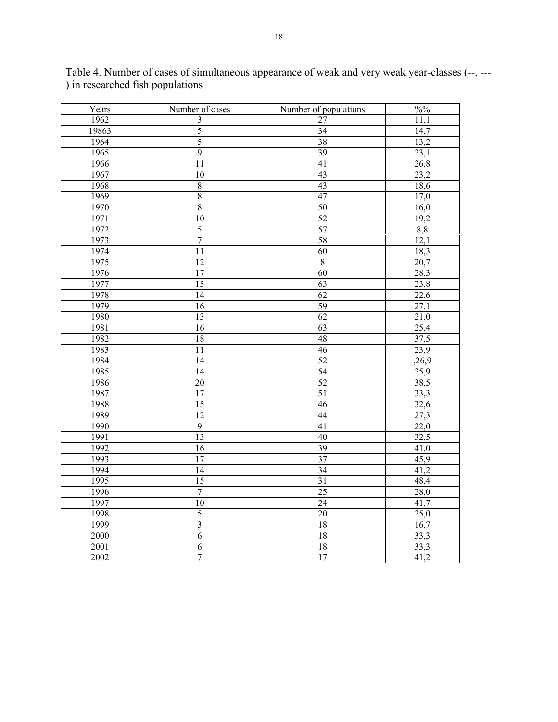| Years | Number of cases  | Number of populations | $\frac{0}{0}$ %   |
|-------|------------------|-----------------------|-------------------|
| 1962  | 3                | 27                    | 11,1              |
| 19863 | 5                | $\overline{34}$       | 14,7              |
| 1964  | $\overline{5}$   | $\overline{38}$       | 13,2              |
| 1965  | $\overline{9}$   | $\overline{39}$       | $\overline{23,1}$ |
| 1966  | $\overline{11}$  | $\overline{41}$       | 26,8              |
| 1967  | 10               | 43                    | 23,2              |
| 1968  | $\sqrt{8}$       | 43                    | 18,6              |
| 1969  | $\sqrt{8}$       | 47                    | 17,0              |
| 1970  | $\boldsymbol{8}$ | 50                    | 16,0              |
| 1971  | 10               | 52                    | 19,2              |
| 1972  | $\overline{5}$   | 57                    | 8,8               |
| 1973  | $\overline{7}$   | 58                    | 12,1              |
| 1974  | $\overline{11}$  | $\overline{60}$       | 18,3              |
| 1975  | $\overline{12}$  | $\overline{8}$        | 20,7              |
| 1976  | 17               | 60                    | 28,3              |
| 1977  | $\overline{15}$  | 63                    | 23,8              |
| 1978  | 14               | 62                    | 22,6              |
| 1979  | $\overline{16}$  | $\overline{59}$       | $\frac{27,1}{ }$  |
| 1980  | $\overline{13}$  | 62                    | 21,0              |
| 1981  | $\overline{16}$  | $\overline{63}$       | 25,4              |
| 1982  | 18               | 48                    | 37,5              |
| 1983  | 11               | 46                    | 23,9              |
| 1984  | 14               | 52                    | ,26,9             |
| 1985  | 14               | 54                    | 25,9              |
| 1986  | 20               | 52                    | 38,5              |
| 1987  | $17\,$           | 51                    | 33,3              |
| 1988  | 15               | 46                    | 32,6              |
| 1989  | $\overline{12}$  | 44                    | 27,3              |
| 1990  | $\overline{9}$   | 41                    | 22,0              |
| 1991  | $\overline{13}$  | $\overline{40}$       | 32,5              |
| 1992  | 16               | 39                    | 41,0              |
| 1993  | 17               | 37                    | 45,9              |
| 1994  | 14               | $\overline{34}$       | 41,2              |
| 1995  | 15               | 31                    | 48,4              |
| 1996  | $\boldsymbol{7}$ | 25                    | 28,0              |
| 1997  | 10               | $\overline{24}$       | 41,7              |
| 1998  | $\overline{5}$   | $\overline{20}$       | 25,0              |
| 1999  | $\overline{3}$   | 18                    | 16,7              |
| 2000  | $\overline{6}$   | $\overline{18}$       | 33,3              |
| 2001  | $\sqrt{6}$       | $18\,$                | 33,3              |
| 2002  | $\overline{7}$   | 17                    | 41,2              |

Table 4. Number of cases of simultaneous appearance of weak and very weak year-classes (--, --- ) in researched fish populations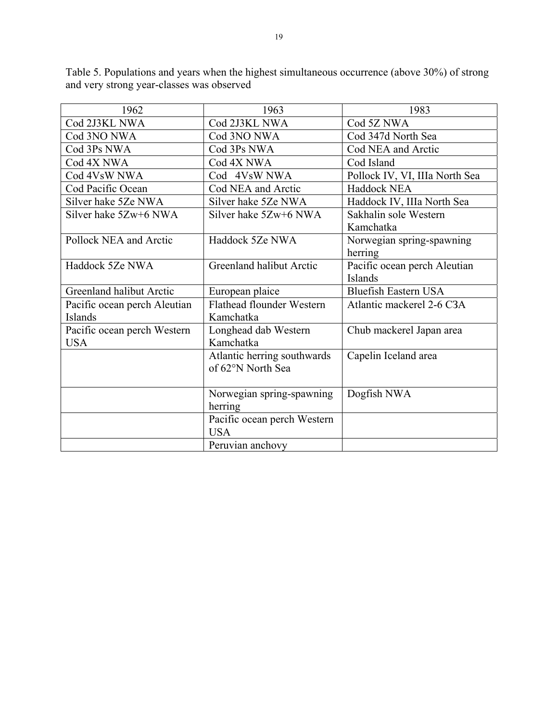| 1962                         | 1963                        | 1983                           |
|------------------------------|-----------------------------|--------------------------------|
| Cod 2J3KL NWA                | Cod 2J3KL NWA               | Cod 5Z NWA                     |
| Cod 3NO NWA                  | Cod 3NO NWA                 | Cod 347d North Sea             |
| Cod 3Ps NWA                  | Cod 3Ps NWA                 | Cod NEA and Arctic             |
| Cod 4X NWA                   | Cod 4X NWA                  | Cod Island                     |
| Cod 4VsW NWA                 | Cod 4VsW NWA                | Pollock IV, VI, IIIa North Sea |
| Cod Pacific Ocean            | Cod NEA and Arctic          | Haddock NEA                    |
| Silver hake 5Ze NWA          | Silver hake 5Ze NWA         | Haddock IV, IIIa North Sea     |
| Silver hake 5Zw+6 NWA        | Silver hake 5Zw+6 NWA       | Sakhalin sole Western          |
|                              |                             | Kamchatka                      |
| Pollock NEA and Arctic       | Haddock 5Ze NWA             | Norwegian spring-spawning      |
|                              |                             | herring                        |
| Haddock 5Ze NWA              | Greenland halibut Arctic    | Pacific ocean perch Aleutian   |
|                              |                             | Islands                        |
| Greenland halibut Arctic     | European plaice             | <b>Bluefish Eastern USA</b>    |
| Pacific ocean perch Aleutian | Flathead flounder Western   | Atlantic mackerel 2-6 C3A      |
| Islands                      | Kamchatka                   |                                |
| Pacific ocean perch Western  | Longhead dab Western        | Chub mackerel Japan area       |
| <b>USA</b>                   | Kamchatka                   |                                |
|                              | Atlantic herring southwards | Capelin Iceland area           |
|                              | of 62°N North Sea           |                                |
|                              |                             |                                |
|                              | Norwegian spring-spawning   | Dogfish NWA                    |
|                              | herring                     |                                |
|                              | Pacific ocean perch Western |                                |
|                              | <b>USA</b>                  |                                |
|                              | Peruvian anchovy            |                                |

Table 5. Populations and years when the highest simultaneous occurrence (above 30%) of strong and very strong year-classes was observed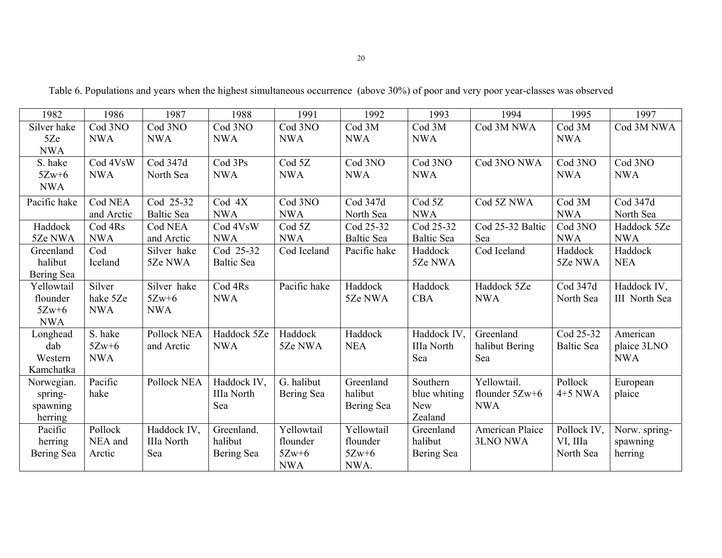| 1982         | 1986       | 1987              | 1988              | 1991              | 1992              | 1993              | 1994             | 1995              | 1997          |
|--------------|------------|-------------------|-------------------|-------------------|-------------------|-------------------|------------------|-------------------|---------------|
| Silver hake  | Cod 3NO    | Cod 3NO           | Cod 3NO           | Cod 3NO           | Cod 3M            | Cod 3M            | Cod 3M NWA       | Cod 3M            | Cod 3M NWA    |
| 5Ze          | <b>NWA</b> | <b>NWA</b>        | <b>NWA</b>        | <b>NWA</b>        | <b>NWA</b>        | <b>NWA</b>        |                  | <b>NWA</b>        |               |
| <b>NWA</b>   |            |                   |                   |                   |                   |                   |                  |                   |               |
| S. hake      | Cod 4VsW   | Cod 347d          | Cod 3Ps           | Cod <sub>5Z</sub> | Cod 3NO           | Cod 3NO           | Cod 3NO NWA      | Cod 3NO           | Cod 3NO       |
| $5Zw+6$      | <b>NWA</b> | North Sea         | <b>NWA</b>        | <b>NWA</b>        | <b>NWA</b>        | <b>NWA</b>        |                  | <b>NWA</b>        | <b>NWA</b>    |
| <b>NWA</b>   |            |                   |                   |                   |                   |                   |                  |                   |               |
| Pacific hake | Cod NEA    | Cod 25-32         | Cod 4X            | Cod 3NO           | Cod 347d          | Cod <sub>5Z</sub> | Cod 5Z NWA       | Cod 3M            | Cod 347d      |
|              | and Arctic | <b>Baltic Sea</b> | <b>NWA</b>        | <b>NWA</b>        | North Sea         | <b>NWA</b>        |                  | <b>NWA</b>        | North Sea     |
| Haddock      | Cod 4Rs    | Cod NEA           | Cod 4VsW          | Cod <sub>5Z</sub> | Cod 25-32         | Cod 25-32         | Cod 25-32 Baltic | Cod 3NO           | Haddock 5Ze   |
| 5Ze NWA      | <b>NWA</b> | and Arctic        | <b>NWA</b>        | <b>NWA</b>        | <b>Baltic Sea</b> | <b>Baltic Sea</b> | Sea              | <b>NWA</b>        | <b>NWA</b>    |
| Greenland    | Cod        | Silver hake       | Cod 25-32         | Cod Iceland       | Pacific hake      | Haddock           | Cod Iceland      | Haddock           | Haddock       |
| halibut      | Iceland    | 5Ze NWA           | <b>Baltic Sea</b> |                   |                   | 5Ze NWA           |                  | 5Ze NWA           | <b>NEA</b>    |
| Bering Sea   |            |                   |                   |                   |                   |                   |                  |                   |               |
| Yellowtail   | Silver     | Silver hake       | Cod 4Rs           | Pacific hake      | Haddock           | Haddock           | Haddock 5Ze      | Cod 347d          | Haddock IV,   |
| flounder     | hake 5Ze   | $5Zw+6$           | <b>NWA</b>        |                   | 5Ze NWA           | <b>CBA</b>        | <b>NWA</b>       | North Sea         | III North Sea |
| $5Zw+6$      | <b>NWA</b> | <b>NWA</b>        |                   |                   |                   |                   |                  |                   |               |
| <b>NWA</b>   |            |                   |                   |                   |                   |                   |                  |                   |               |
| Longhead     | S. hake    | Pollock NEA       | Haddock 5Ze       | Haddock           | Haddock           | Haddock IV,       | Greenland        | Cod 25-32         | American      |
| dab          | $5Zw+6$    | and Arctic        | <b>NWA</b>        | 5Ze NWA           | <b>NEA</b>        | IIIa North        | halibut Bering   | <b>Baltic Sea</b> | plaice 3LNO   |
| Western      | <b>NWA</b> |                   |                   |                   |                   | Sea               | Sea              |                   | <b>NWA</b>    |
| Kamchatka    |            |                   |                   |                   |                   |                   |                  |                   |               |
| Norwegian.   | Pacific    | Pollock NEA       | Haddock IV,       | G. halibut        | Greenland         | Southern          | Yellowtail.      | Pollock           | European      |
| spring-      | hake       |                   | IIIa North        | Bering Sea        | halibut           | blue whiting      | flounder $5Zw+6$ | $4+5$ NWA         | plaice        |
| spawning     |            |                   | Sea               |                   | Bering Sea        | <b>New</b>        | <b>NWA</b>       |                   |               |
| herring      |            |                   |                   |                   |                   | Zealand           |                  |                   |               |
| Pacific      | Pollock    | Haddock IV,       | Greenland.        | Yellowtail        | Yellowtail        | Greenland         | American Plaice  | Pollock IV,       | Norw. spring- |

flounder 5Zw+6 NWA.

halibut Bering Sea 3LNO NWA

VI, IIIa North Sea spawning herring

 herring Bering Sea

NEA and Arctic

IIIa North Sea

halibut Bering Sea flounder 5Zw+6 NWA

Table 6. Populations and years when the highest simultaneous occurrence (above 30%) of poor and very poor year-classes was observed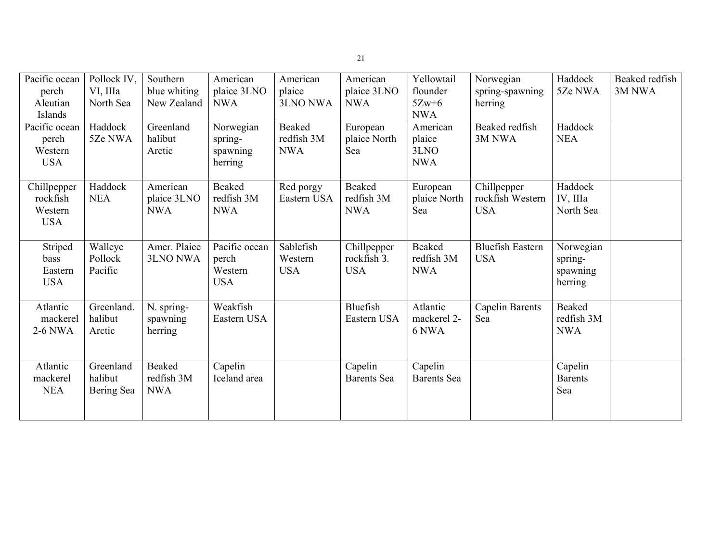| Pacific ocean        | Pollock IV,          | Southern                    | American                | American              | American                      | Yellowtail                    | Norwegian               | Haddock                   | Beaked redfish |
|----------------------|----------------------|-----------------------------|-------------------------|-----------------------|-------------------------------|-------------------------------|-------------------------|---------------------------|----------------|
| perch                | VI. IIIa             | blue whiting                | plaice 3LNO             | plaice                | plaice 3LNO                   | flounder                      | spring-spawning         | 5Ze NWA                   | 3M NWA         |
| Aleutian<br>Islands  | North Sea            | New Zealand                 | <b>NWA</b>              | 3LNO NWA              | <b>NWA</b>                    | $5Zw+6$<br><b>NWA</b>         | herring                 |                           |                |
| Pacific ocean        | Haddock              | Greenland                   | Norwegian               | Beaked                | European                      | American                      | Beaked redfish          | Haddock                   |                |
| perch                | 5Ze NWA              | halibut                     | spring-                 | redfish 3M            | plaice North                  | plaice                        | 3M NWA                  | <b>NEA</b>                |                |
| Western              |                      | Arctic                      | spawning                | <b>NWA</b>            | Sea                           | 3LNO                          |                         |                           |                |
| <b>USA</b>           |                      |                             | herring                 |                       |                               | <b>NWA</b>                    |                         |                           |                |
|                      |                      |                             |                         |                       |                               |                               |                         |                           |                |
| Chillpepper          | Haddock              | American                    | Beaked                  | Red porgy             | Beaked                        | European                      | Chillpepper             | Haddock                   |                |
| rockfish             | <b>NEA</b>           | plaice 3LNO                 | redfish 3M              | Eastern USA           | redfish 3M                    | plaice North                  | rockfish Western        | IV, IIIa                  |                |
| Western              |                      | <b>NWA</b>                  | <b>NWA</b>              |                       | <b>NWA</b>                    | Sea                           | <b>USA</b>              | North Sea                 |                |
| <b>USA</b>           |                      |                             |                         |                       |                               |                               |                         |                           |                |
|                      |                      |                             |                         |                       |                               |                               |                         |                           |                |
| Striped              | Walleye              | Amer. Plaice                | Pacific ocean           | Sablefish             | Chillpepper                   | Beaked                        | <b>Bluefish Eastern</b> | Norwegian                 |                |
| bass<br>Eastern      | Pollock<br>Pacific   | <b>3LNO NWA</b>             | perch<br>Western        | Western<br><b>USA</b> | rockfish 3.<br><b>USA</b>     | redfish 3M<br><b>NWA</b>      | <b>USA</b>              | spring-                   |                |
| <b>USA</b>           |                      |                             | <b>USA</b>              |                       |                               |                               |                         | spawning<br>herring       |                |
|                      |                      |                             |                         |                       |                               |                               |                         |                           |                |
| Atlantic             | Greenland.           | N. spring-                  | Weakfish                |                       | Bluefish                      | Atlantic                      | <b>Capelin Barents</b>  | Beaked                    |                |
| mackerel             | halibut              | spawning                    | Eastern USA             |                       | Eastern USA                   | mackerel 2-                   | Sea                     | redfish 3M                |                |
| 2-6 NWA              | Arctic               | herring                     |                         |                       |                               | 6 NWA                         |                         | <b>NWA</b>                |                |
|                      |                      |                             |                         |                       |                               |                               |                         |                           |                |
|                      |                      |                             |                         |                       |                               |                               |                         |                           |                |
| Atlantic<br>mackerel | Greenland<br>halibut | <b>Beaked</b><br>redfish 3M | Capelin<br>Iceland area |                       | Capelin<br><b>Barents</b> Sea | Capelin<br><b>Barents</b> Sea |                         | Capelin<br><b>Barents</b> |                |
| <b>NEA</b>           |                      | <b>NWA</b>                  |                         |                       |                               |                               |                         | Sea                       |                |
|                      | Bering Sea           |                             |                         |                       |                               |                               |                         |                           |                |
|                      |                      |                             |                         |                       |                               |                               |                         |                           |                |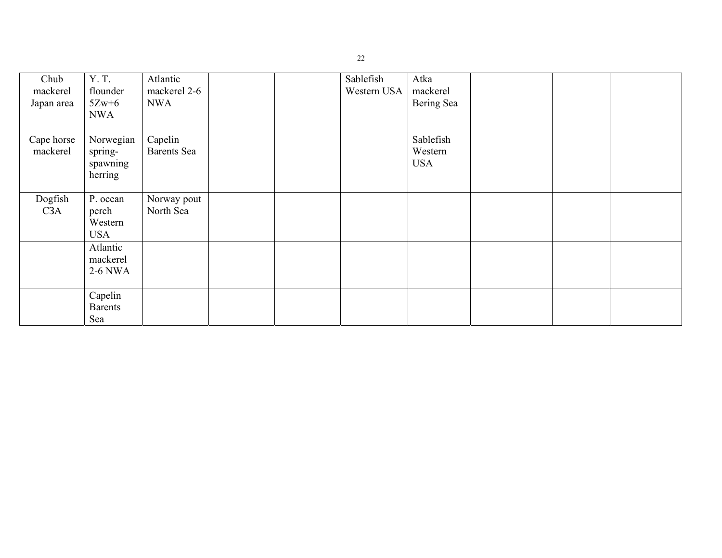| Chub<br>mackerel | Y.T.<br>flounder    | Atlantic<br>mackerel 2-6 |  | Sablefish<br>Western USA | Atka<br>mackerel |  |  |
|------------------|---------------------|--------------------------|--|--------------------------|------------------|--|--|
| Japan area       | $5Zw+6$             | <b>NWA</b>               |  |                          | Bering Sea       |  |  |
|                  | <b>NWA</b>          |                          |  |                          |                  |  |  |
| Cape horse       | Norwegian           | Capelin                  |  |                          | Sablefish        |  |  |
| mackerel         | spring-             | <b>Barents</b> Sea       |  |                          | Western          |  |  |
|                  | spawning            |                          |  |                          | <b>USA</b>       |  |  |
|                  | herring             |                          |  |                          |                  |  |  |
| Dogfish          | P. ocean            | Norway pout              |  |                          |                  |  |  |
| C <sub>3</sub> A | perch               | North Sea                |  |                          |                  |  |  |
|                  | Western             |                          |  |                          |                  |  |  |
|                  | <b>USA</b>          |                          |  |                          |                  |  |  |
|                  | Atlantic            |                          |  |                          |                  |  |  |
|                  | mackerel<br>2-6 NWA |                          |  |                          |                  |  |  |
|                  |                     |                          |  |                          |                  |  |  |
|                  | Capelin             |                          |  |                          |                  |  |  |
|                  | <b>Barents</b>      |                          |  |                          |                  |  |  |
|                  | Sea                 |                          |  |                          |                  |  |  |

22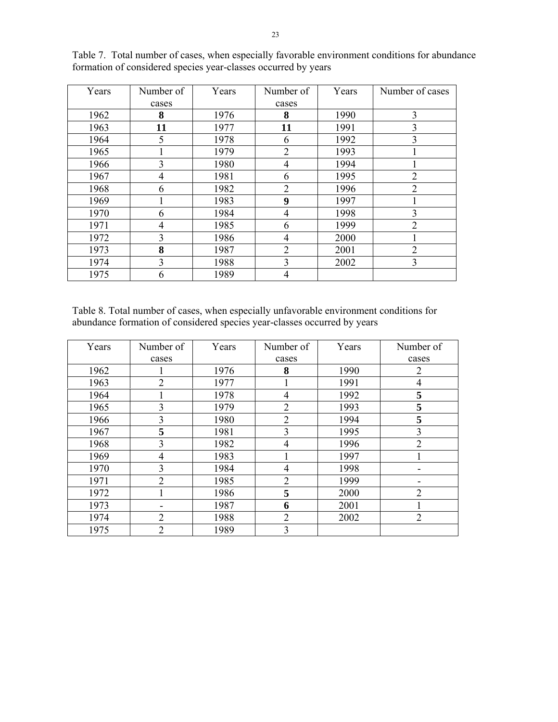| Years | Number of      | Years | Number of      | Years | Number of cases |
|-------|----------------|-------|----------------|-------|-----------------|
|       | cases          |       | cases          |       |                 |
| 1962  | 8              | 1976  | 8              | 1990  | 3               |
| 1963  | 11             | 1977  | 11             | 1991  | 3               |
| 1964  | 5              | 1978  | 6              | 1992  | 3               |
| 1965  |                | 1979  | $\overline{2}$ | 1993  |                 |
| 1966  | 3              | 1980  | 4              | 1994  |                 |
| 1967  | $\overline{4}$ | 1981  | 6              | 1995  | $\overline{2}$  |
| 1968  | 6              | 1982  | $\overline{2}$ | 1996  | $\overline{2}$  |
| 1969  |                | 1983  | 9              | 1997  |                 |
| 1970  | 6              | 1984  | 4              | 1998  | 3               |
| 1971  | $\overline{4}$ | 1985  | 6              | 1999  | $\overline{2}$  |
| 1972  | 3              | 1986  | 4              | 2000  |                 |
| 1973  | 8              | 1987  | $\overline{2}$ | 2001  | $\overline{2}$  |
| 1974  | 3              | 1988  | 3              | 2002  | 3               |
| 1975  | 6              | 1989  | 4              |       |                 |

Table 7. Total number of cases, when especially favorable environment conditions for abundance formation of considered species year-classes occurred by years

Table 8. Total number of cases, when especially unfavorable environment conditions for abundance formation of considered species year-classes occurred by years

| Years | Number of      | Years | Number of      | Years | Number of      |
|-------|----------------|-------|----------------|-------|----------------|
|       | cases          |       | cases          |       | cases          |
| 1962  |                | 1976  | 8              | 1990  | 2              |
| 1963  | $\overline{2}$ | 1977  |                | 1991  | 4              |
| 1964  |                | 1978  | 4              | 1992  | 5              |
| 1965  | 3              | 1979  | $\overline{2}$ | 1993  | 5              |
| 1966  | 3              | 1980  | $\overline{2}$ | 1994  | 5              |
| 1967  | 5              | 1981  | 3              | 1995  | 3              |
| 1968  | 3              | 1982  | 4              | 1996  | $\overline{2}$ |
| 1969  | 4              | 1983  |                | 1997  |                |
| 1970  | 3              | 1984  | 4              | 1998  |                |
| 1971  | 2              | 1985  | $\overline{2}$ | 1999  |                |
| 1972  |                | 1986  | 5              | 2000  | $\overline{2}$ |
| 1973  |                | 1987  | 6              | 2001  |                |
| 1974  | 2              | 1988  | $\overline{2}$ | 2002  | $\overline{2}$ |
| 1975  | $\overline{2}$ | 1989  | 3              |       |                |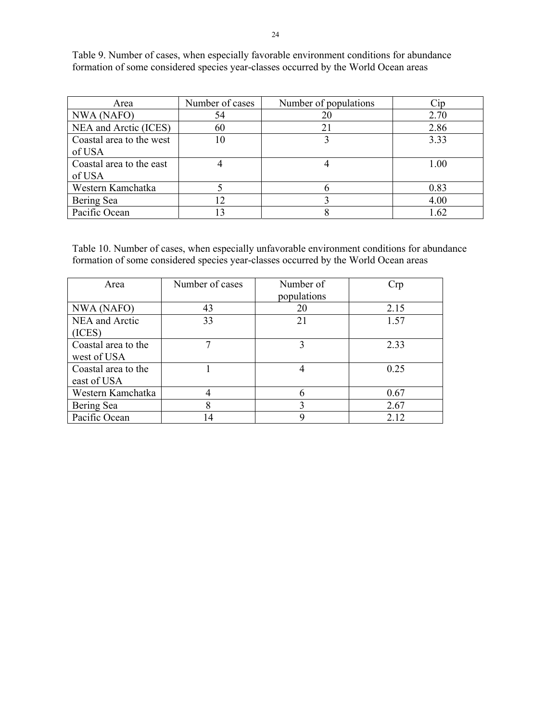Table 9. Number of cases, when especially favorable environment conditions for abundance formation of some considered species year-classes occurred by the World Ocean areas

| Area                     | Number of cases | Number of populations | Cip  |
|--------------------------|-----------------|-----------------------|------|
| NWA (NAFO)               | 54              | 20                    | 2.70 |
| NEA and Arctic (ICES)    | 60              | 21                    | 2.86 |
| Coastal area to the west | 10              |                       | 3.33 |
| of USA                   |                 |                       |      |
| Coastal area to the east |                 |                       | 1.00 |
| of USA                   |                 |                       |      |
| Western Kamchatka        |                 |                       | 0.83 |
| Bering Sea               | 12              |                       | 4.00 |
| Pacific Ocean            | 13              |                       | 1.62 |

Table 10. Number of cases, when especially unfavorable environment conditions for abundance formation of some considered species year-classes occurred by the World Ocean areas

| Area                | Number of cases | Number of   | Crp  |
|---------------------|-----------------|-------------|------|
|                     |                 | populations |      |
| NWA (NAFO)          | 43              | 20          | 2.15 |
| NEA and Arctic      | 33              | 21          | 1.57 |
| (ICES)              |                 |             |      |
| Coastal area to the |                 | 3           | 2.33 |
| west of USA         |                 |             |      |
| Coastal area to the |                 | 4           | 0.25 |
| east of USA         |                 |             |      |
| Western Kamchatka   |                 | 6           | 0.67 |
| Bering Sea          | 8               | 3           | 2.67 |
| Pacific Ocean       | 14              | 9           | 2.12 |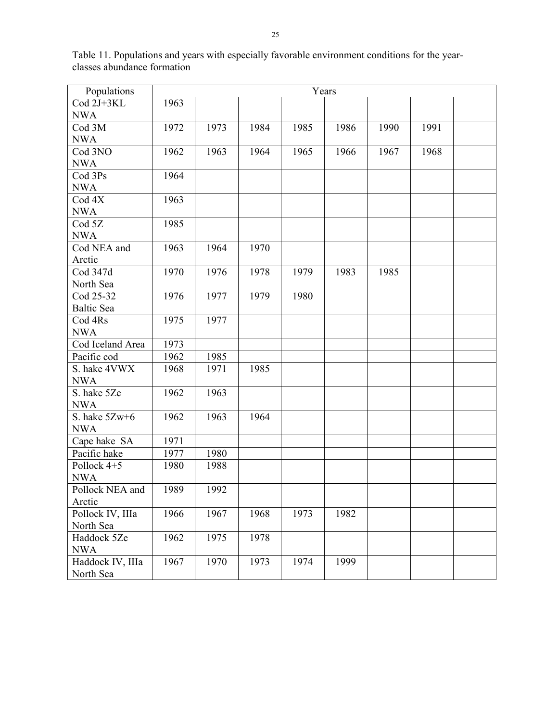| Populations       | Years |      |      |      |      |      |      |  |
|-------------------|-------|------|------|------|------|------|------|--|
| Cod 2J+3KL        | 1963  |      |      |      |      |      |      |  |
| <b>NWA</b>        |       |      |      |      |      |      |      |  |
| Cod 3M            | 1972  | 1973 | 1984 | 1985 | 1986 | 1990 | 1991 |  |
| <b>NWA</b>        |       |      |      |      |      |      |      |  |
| Cod 3NO           | 1962  | 1963 | 1964 | 1965 | 1966 | 1967 | 1968 |  |
| <b>NWA</b>        |       |      |      |      |      |      |      |  |
| Cod 3Ps           | 1964  |      |      |      |      |      |      |  |
| <b>NWA</b>        |       |      |      |      |      |      |      |  |
| Cod <sub>4X</sub> | 1963  |      |      |      |      |      |      |  |
| <b>NWA</b>        |       |      |      |      |      |      |      |  |
| Cod <sub>5Z</sub> | 1985  |      |      |      |      |      |      |  |
| <b>NWA</b>        |       |      |      |      |      |      |      |  |
| Cod NEA and       | 1963  | 1964 | 1970 |      |      |      |      |  |
| Arctic            |       |      |      |      |      |      |      |  |
| Cod 347d          | 1970  | 1976 | 1978 | 1979 | 1983 | 1985 |      |  |
| North Sea         |       |      |      |      |      |      |      |  |
| Cod 25-32         | 1976  | 1977 | 1979 | 1980 |      |      |      |  |
| <b>Baltic Sea</b> |       |      |      |      |      |      |      |  |
| Cod 4Rs           | 1975  | 1977 |      |      |      |      |      |  |
| <b>NWA</b>        |       |      |      |      |      |      |      |  |
| Cod Iceland Area  | 1973  |      |      |      |      |      |      |  |
| Pacific cod       | 1962  | 1985 |      |      |      |      |      |  |
| S. hake 4VWX      | 1968  | 1971 | 1985 |      |      |      |      |  |
| <b>NWA</b>        |       |      |      |      |      |      |      |  |
| S. hake 5Ze       | 1962  | 1963 |      |      |      |      |      |  |
| <b>NWA</b>        |       |      |      |      |      |      |      |  |
| S. hake 5Zw+6     | 1962  | 1963 | 1964 |      |      |      |      |  |
| <b>NWA</b>        |       |      |      |      |      |      |      |  |
| Cape hake SA      | 1971  |      |      |      |      |      |      |  |
| Pacific hake      | 1977  | 1980 |      |      |      |      |      |  |
| Pollock 4+5       | 1980  | 1988 |      |      |      |      |      |  |
| <b>NWA</b>        |       |      |      |      |      |      |      |  |
| Pollock NEA and   | 1989  | 1992 |      |      |      |      |      |  |
| Arctic            |       |      |      |      |      |      |      |  |
| Pollock IV, IIIa  | 1966  | 1967 | 1968 | 1973 | 1982 |      |      |  |
| North Sea         |       |      |      |      |      |      |      |  |
| Haddock 5Ze       | 1962  | 1975 | 1978 |      |      |      |      |  |
| <b>NWA</b>        |       |      |      |      |      |      |      |  |
| Haddock IV, IIIa  | 1967  | 1970 | 1973 | 1974 | 1999 |      |      |  |
| North Sea         |       |      |      |      |      |      |      |  |

Table 11. Populations and years with especially favorable environment conditions for the yearclasses abundance formation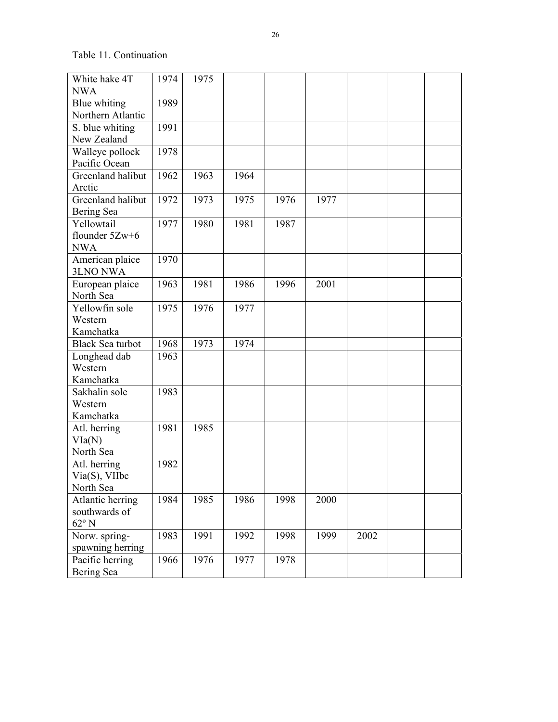Table 11. Continuation

| White hake 4T           | 1974 | 1975 |      |      |      |      |  |
|-------------------------|------|------|------|------|------|------|--|
| <b>NWA</b>              |      |      |      |      |      |      |  |
| Blue whiting            | 1989 |      |      |      |      |      |  |
| Northern Atlantic       |      |      |      |      |      |      |  |
| S. blue whiting         | 1991 |      |      |      |      |      |  |
| New Zealand             |      |      |      |      |      |      |  |
| Walleye pollock         | 1978 |      |      |      |      |      |  |
| Pacific Ocean           |      |      |      |      |      |      |  |
| Greenland halibut       | 1962 | 1963 | 1964 |      |      |      |  |
| Arctic                  |      |      |      |      |      |      |  |
| Greenland halibut       | 1972 | 1973 | 1975 | 1976 | 1977 |      |  |
| Bering Sea              |      |      |      |      |      |      |  |
| Yellowtail              | 1977 | 1980 | 1981 | 1987 |      |      |  |
| flounder 5Zw+6          |      |      |      |      |      |      |  |
| <b>NWA</b>              |      |      |      |      |      |      |  |
| American plaice         | 1970 |      |      |      |      |      |  |
| <b>3LNO NWA</b>         |      |      |      |      |      |      |  |
| European plaice         | 1963 | 1981 | 1986 | 1996 | 2001 |      |  |
| North Sea               |      |      |      |      |      |      |  |
| Yellowfin sole          | 1975 | 1976 | 1977 |      |      |      |  |
| Western                 |      |      |      |      |      |      |  |
| Kamchatka               |      |      |      |      |      |      |  |
| <b>Black Sea turbot</b> | 1968 | 1973 | 1974 |      |      |      |  |
| Longhead dab            | 1963 |      |      |      |      |      |  |
| Western                 |      |      |      |      |      |      |  |
| Kamchatka               |      |      |      |      |      |      |  |
| Sakhalin sole           | 1983 |      |      |      |      |      |  |
| Western                 |      |      |      |      |      |      |  |
| Kamchatka               |      |      |      |      |      |      |  |
| Atl. herring            | 1981 | 1985 |      |      |      |      |  |
| VIa(N)                  |      |      |      |      |      |      |  |
| North Sea               |      |      |      |      |      |      |  |
| Atl. herring            | 1982 |      |      |      |      |      |  |
| Via(S), VIIbc           |      |      |      |      |      |      |  |
| North Sea               |      |      |      |      |      |      |  |
| Atlantic herring        | 1984 | 1985 | 1986 | 1998 | 2000 |      |  |
| southwards of           |      |      |      |      |      |      |  |
| $62^{\rm o}$ N          |      |      |      |      |      |      |  |
| Norw. spring-           | 1983 | 1991 | 1992 | 1998 | 1999 | 2002 |  |
| spawning herring        |      |      |      |      |      |      |  |
| Pacific herring         | 1966 | 1976 | 1977 | 1978 |      |      |  |
| Bering Sea              |      |      |      |      |      |      |  |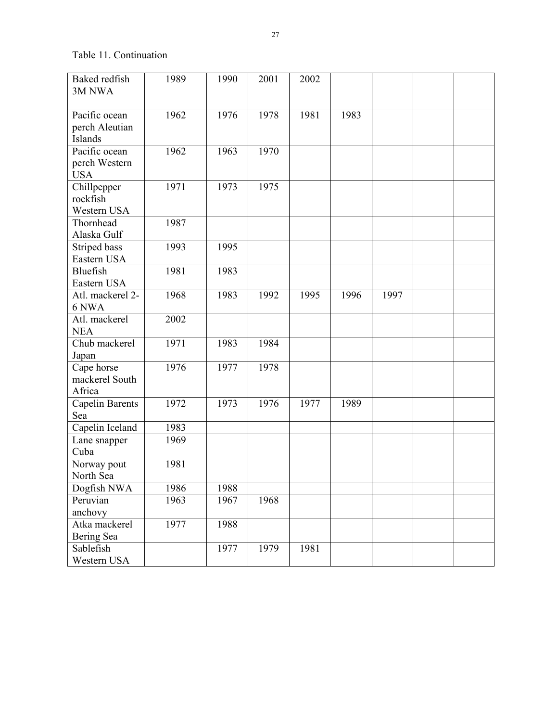Table 11. Continuation

| Baked redfish                   | 1989 | 1990 | 2001 | 2002 |      |      |  |
|---------------------------------|------|------|------|------|------|------|--|
| 3M NWA                          |      |      |      |      |      |      |  |
| Pacific ocean                   | 1962 | 1976 | 1978 | 1981 | 1983 |      |  |
| perch Aleutian                  |      |      |      |      |      |      |  |
| Islands                         |      |      |      |      |      |      |  |
| Pacific ocean                   | 1962 | 1963 | 1970 |      |      |      |  |
| perch Western                   |      |      |      |      |      |      |  |
| <b>USA</b>                      |      |      |      |      |      |      |  |
| Chillpepper                     | 1971 | 1973 | 1975 |      |      |      |  |
| rockfish                        |      |      |      |      |      |      |  |
| Western USA                     |      |      |      |      |      |      |  |
| Thornhead                       | 1987 |      |      |      |      |      |  |
| Alaska Gulf                     |      |      |      |      |      |      |  |
| Striped bass                    | 1993 | 1995 |      |      |      |      |  |
| Eastern USA                     |      |      |      |      |      |      |  |
| Bluefish                        | 1981 | 1983 |      |      |      |      |  |
| Eastern USA<br>Atl. mackerel 2- | 1968 | 1983 | 1992 | 1995 | 1996 | 1997 |  |
| 6 NWA                           |      |      |      |      |      |      |  |
| Atl. mackerel                   | 2002 |      |      |      |      |      |  |
| <b>NEA</b>                      |      |      |      |      |      |      |  |
| Chub mackerel                   | 1971 | 1983 | 1984 |      |      |      |  |
| Japan                           |      |      |      |      |      |      |  |
| Cape horse                      | 1976 | 1977 | 1978 |      |      |      |  |
| mackerel South                  |      |      |      |      |      |      |  |
| Africa                          |      |      |      |      |      |      |  |
| <b>Capelin Barents</b>          | 1972 | 1973 | 1976 | 1977 | 1989 |      |  |
| Sea                             |      |      |      |      |      |      |  |
| Capelin Iceland                 | 1983 |      |      |      |      |      |  |
| Lane snapper                    | 1969 |      |      |      |      |      |  |
| Cuba                            |      |      |      |      |      |      |  |
| Norway pout                     | 1981 |      |      |      |      |      |  |
| North Sea                       |      |      |      |      |      |      |  |
| Dogfish NWA                     | 1986 | 1988 |      |      |      |      |  |
| Peruvian<br>anchovy             | 1963 | 1967 | 1968 |      |      |      |  |
| Atka mackerel                   | 1977 | 1988 |      |      |      |      |  |
| Bering Sea                      |      |      |      |      |      |      |  |
| Sablefish                       |      | 1977 | 1979 | 1981 |      |      |  |
| Western USA                     |      |      |      |      |      |      |  |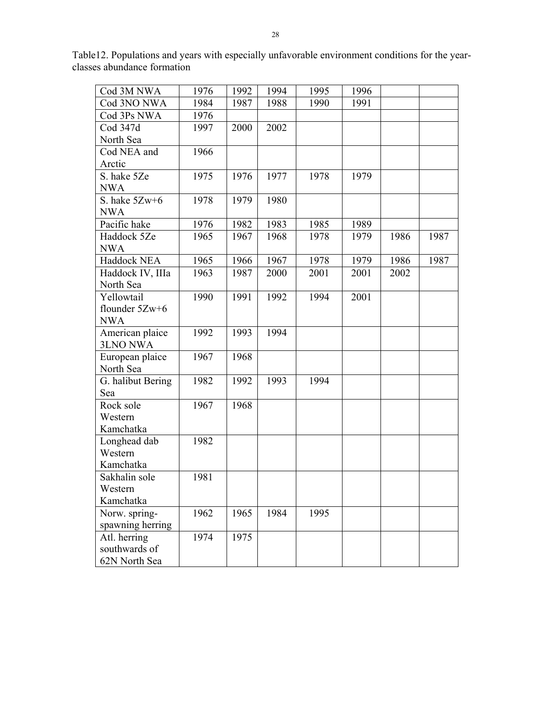Table12. Populations and years with especially unfavorable environment conditions for the yearclasses abundance formation

| Cod 3M NWA        | 1976 | 1992 | 1994 | 1995 | 1996 |      |      |
|-------------------|------|------|------|------|------|------|------|
| Cod 3NO NWA       | 1984 | 1987 | 1988 | 1990 | 1991 |      |      |
| Cod 3Ps NWA       | 1976 |      |      |      |      |      |      |
| Cod 347d          | 1997 | 2000 | 2002 |      |      |      |      |
| North Sea         |      |      |      |      |      |      |      |
| Cod NEA and       | 1966 |      |      |      |      |      |      |
| Arctic            |      |      |      |      |      |      |      |
| S. hake 5Ze       | 1975 | 1976 | 1977 | 1978 | 1979 |      |      |
| <b>NWA</b>        |      |      |      |      |      |      |      |
| S. hake 5Zw+6     | 1978 | 1979 | 1980 |      |      |      |      |
| <b>NWA</b>        |      |      |      |      |      |      |      |
| Pacific hake      | 1976 | 1982 | 1983 | 1985 | 1989 |      |      |
| Haddock 5Ze       | 1965 | 1967 | 1968 | 1978 | 1979 | 1986 | 1987 |
| <b>NWA</b>        |      |      |      |      |      |      |      |
| Haddock NEA       | 1965 | 1966 | 1967 | 1978 | 1979 | 1986 | 1987 |
| Haddock IV, IIIa  | 1963 | 1987 | 2000 | 2001 | 2001 | 2002 |      |
| North Sea         |      |      |      |      |      |      |      |
| Yellowtail        | 1990 | 1991 | 1992 | 1994 | 2001 |      |      |
| flounder $5Zw+6$  |      |      |      |      |      |      |      |
| <b>NWA</b>        |      |      |      |      |      |      |      |
| American plaice   | 1992 | 1993 | 1994 |      |      |      |      |
| <b>3LNO NWA</b>   |      |      |      |      |      |      |      |
| European plaice   | 1967 | 1968 |      |      |      |      |      |
| North Sea         |      |      |      |      |      |      |      |
| G. halibut Bering | 1982 | 1992 | 1993 | 1994 |      |      |      |
| Sea               |      |      |      |      |      |      |      |
| Rock sole         | 1967 | 1968 |      |      |      |      |      |
| Western           |      |      |      |      |      |      |      |
| Kamchatka         |      |      |      |      |      |      |      |
| Longhead dab      | 1982 |      |      |      |      |      |      |
| Western           |      |      |      |      |      |      |      |
| Kamchatka         |      |      |      |      |      |      |      |
| Sakhalin sole     | 1981 |      |      |      |      |      |      |
| Western           |      |      |      |      |      |      |      |
| Kamchatka         |      |      |      |      |      |      |      |
| Norw. spring-     | 1962 | 1965 | 1984 | 1995 |      |      |      |
| spawning herring  |      |      |      |      |      |      |      |
| Atl. herring      | 1974 | 1975 |      |      |      |      |      |
| southwards of     |      |      |      |      |      |      |      |
| 62N North Sea     |      |      |      |      |      |      |      |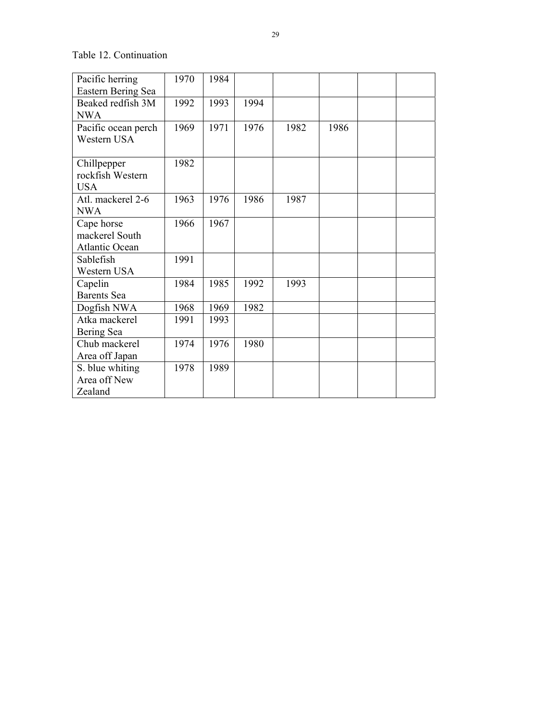### Table 12. Continuation

| Pacific herring     | 1970 | 1984 |      |      |      |  |
|---------------------|------|------|------|------|------|--|
| Eastern Bering Sea  |      |      |      |      |      |  |
| Beaked redfish 3M   | 1992 | 1993 | 1994 |      |      |  |
| <b>NWA</b>          |      |      |      |      |      |  |
| Pacific ocean perch | 1969 | 1971 | 1976 | 1982 | 1986 |  |
| Western USA         |      |      |      |      |      |  |
|                     |      |      |      |      |      |  |
| Chillpepper         | 1982 |      |      |      |      |  |
| rockfish Western    |      |      |      |      |      |  |
| <b>USA</b>          |      |      |      |      |      |  |
| Atl. mackerel 2-6   | 1963 | 1976 | 1986 | 1987 |      |  |
| <b>NWA</b>          |      |      |      |      |      |  |
| Cape horse          | 1966 | 1967 |      |      |      |  |
| mackerel South      |      |      |      |      |      |  |
| Atlantic Ocean      |      |      |      |      |      |  |
| Sablefish           | 1991 |      |      |      |      |  |
| Western USA         |      |      |      |      |      |  |
| Capelin             | 1984 | 1985 | 1992 | 1993 |      |  |
| <b>Barents</b> Sea  |      |      |      |      |      |  |
| Dogfish NWA         | 1968 | 1969 | 1982 |      |      |  |
| Atka mackerel       | 1991 | 1993 |      |      |      |  |
| Bering Sea          |      |      |      |      |      |  |
| Chub mackerel       | 1974 | 1976 | 1980 |      |      |  |
| Area off Japan      |      |      |      |      |      |  |
| S. blue whiting     | 1978 | 1989 |      |      |      |  |
| Area off New        |      |      |      |      |      |  |
| Zealand             |      |      |      |      |      |  |